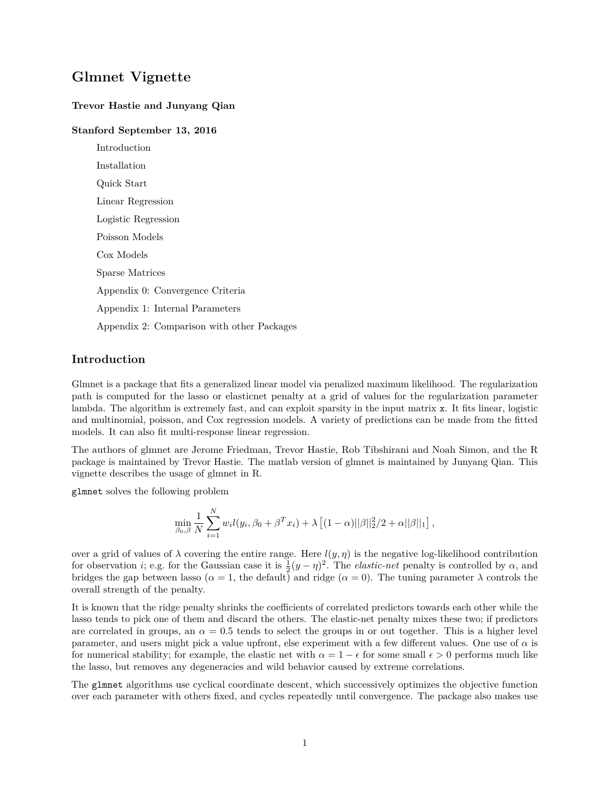# <span id="page-0-0"></span>**Glmnet Vignette**

### **Trevor Hastie and Junyang Qian**

### **Stanford September 13, 2016**

Introduction Installation Quick Start Linear Regression Logistic Regression Poisson Models Cox Models Sparse Matrices Appendix 0: Convergence Criteria Appendix 1: Internal Parameters Appendix 2: Comparison with other Packages

### **Introduction**

Glmnet is a package that fits a generalized linear model via penalized maximum likelihood. The regularization path is computed for the lasso or elasticnet penalty at a grid of values for the regularization parameter lambda. The algorithm is extremely fast, and can exploit sparsity in the input matrix x. It fits linear, logistic and multinomial, poisson, and Cox regression models. A variety of predictions can be made from the fitted models. It can also fit multi-response linear regression.

The authors of glmnet are Jerome Friedman, Trevor Hastie, Rob Tibshirani and Noah Simon, and the R package is maintained by Trevor Hastie. The matlab version of glmnet is maintained by Junyang Qian. This vignette describes the usage of glmnet in R.

glmnet solves the following problem

$$
\min_{\beta_0, \beta} \frac{1}{N} \sum_{i=1}^N w_i l(y_i, \beta_0 + \beta^T x_i) + \lambda \left[ (1 - \alpha) ||\beta||_2^2 / 2 + \alpha ||\beta||_1 \right],
$$

over a grid of values of  $\lambda$  covering the entire range. Here  $l(y, \eta)$  is the negative log-likelihood contribution for observation *i*; e.g. for the Gaussian case it is  $\frac{1}{2}(y - \eta)^2$ . The *elastic-net* penalty is controlled by  $\alpha$ , and bridges the gap between lasso ( $\alpha = 1$ , the default) and ridge ( $\alpha = 0$ ). The tuning parameter  $\lambda$  controls the overall strength of the penalty.

It is known that the ridge penalty shrinks the coefficients of correlated predictors towards each other while the lasso tends to pick one of them and discard the others. The elastic-net penalty mixes these two; if predictors are correlated in groups, an  $\alpha = 0.5$  tends to select the groups in or out together. This is a higher level parameter, and users might pick a value upfront, else experiment with a few different values. One use of *α* is for numerical stability; for example, the elastic net with  $\alpha = 1 - \epsilon$  for some small  $\epsilon > 0$  performs much like the lasso, but removes any degeneracies and wild behavior caused by extreme correlations.

The glmnet algorithms use cyclical coordinate descent, which successively optimizes the objective function over each parameter with others fixed, and cycles repeatedly until convergence. The package also makes use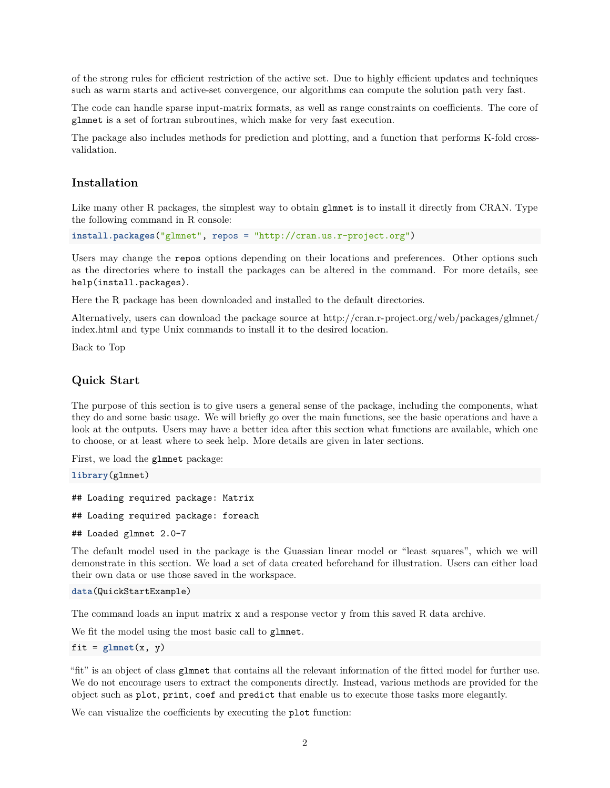of the strong rules for efficient restriction of the active set. Due to highly efficient updates and techniques such as warm starts and active-set convergence, our algorithms can compute the solution path very fast.

The code can handle sparse input-matrix formats, as well as range constraints on coefficients. The core of glmnet is a set of fortran subroutines, which make for very fast execution.

The package also includes methods for prediction and plotting, and a function that performs K-fold crossvalidation.

## **Installation**

Like many other R packages, the simplest way to obtain glmnet is to install it directly from CRAN. Type the following command in R console:

**install.packages**("glmnet", repos = "http://cran.us.r-project.org")

Users may change the repos options depending on their locations and preferences. Other options such as the directories where to install the packages can be altered in the command. For more details, see help(install.packages).

Here the R package has been downloaded and installed to the default directories.

Alternatively, users can download the package source at [http://cran.r-project.org/web/packages/glmnet/](http://cran.r-project.org/web/packages/glmnet/index.html) [index.html](http://cran.r-project.org/web/packages/glmnet/index.html) and type Unix commands to install it to the desired location.

[Back to Top](#page-0-0)

### **Quick Start**

The purpose of this section is to give users a general sense of the package, including the components, what they do and some basic usage. We will briefly go over the main functions, see the basic operations and have a look at the outputs. Users may have a better idea after this section what functions are available, which one to choose, or at least where to seek help. More details are given in later sections.

First, we load the glmnet package:

**library**(glmnet)

```
## Loading required package: Matrix
## Loading required package: foreach
## Loaded glmnet 2.0-7
```
The default model used in the package is the Guassian linear model or "least squares", which we will demonstrate in this section. We load a set of data created beforehand for illustration. Users can either load their own data or use those saved in the workspace.

```
data(QuickStartExample)
```
The command loads an input matrix x and a response vector y from this saved R data archive.

We fit the model using the most basic call to glmnet.

```
fit = glmnet(x, y)
```
"fit" is an object of class glmnet that contains all the relevant information of the fitted model for further use. We do not encourage users to extract the components directly. Instead, various methods are provided for the object such as plot, print, coef and predict that enable us to execute those tasks more elegantly.

We can visualize the coefficients by executing the **plot** function: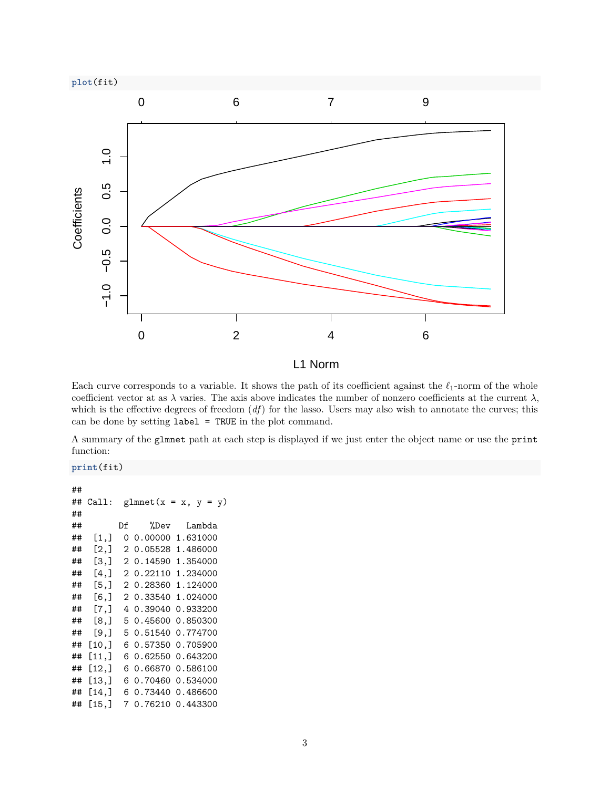

L1 Norm

Each curve corresponds to a variable. It shows the path of its coefficient against the  $\ell_1$ -norm of the whole coefficient vector at as  $\lambda$  varies. The axis above indicates the number of nonzero coefficients at the current  $\lambda$ , which is the effective degrees of freedom (*df*) for the lasso. Users may also wish to annotate the curves; this can be done by setting label = TRUE in the plot command.

A summary of the glmnet path at each step is displayed if we just enter the object name or use the print function:

### **print**(fit)

```
##
## Call: glmnet(x = x, y = y)##
## Df %Dev Lambda
## [1,] 0 0.00000 1.631000
## [2,] 2 0.05528 1.486000
## [3,] 2 0.14590 1.354000
## [4,] 2 0.22110 1.234000
## [5,] 2 0.28360 1.124000
## [6,] 2 0.33540 1.024000
## [7,] 4 0.39040 0.933200
## [8,] 5 0.45600 0.850300
## [9,] 5 0.51540 0.774700
## [10,] 6 0.57350 0.705900
## [11,] 6 0.62550 0.643200
## [12,] 6 0.66870 0.586100
## [13,] 6 0.70460 0.534000
## [14,] 6 0.73440 0.486600
## [15,] 7 0.76210 0.443300
```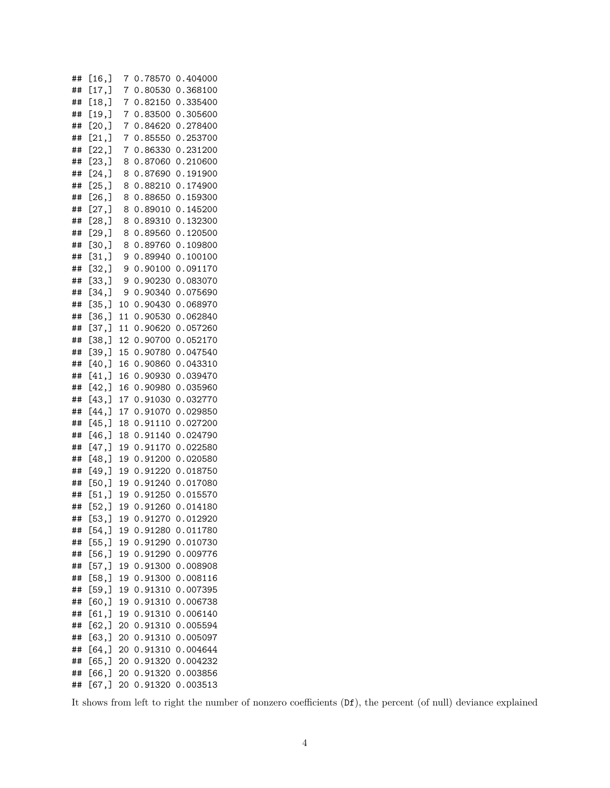| ## | [16,]           | 7        | 0.78570            | 0.404000             |
|----|-----------------|----------|--------------------|----------------------|
| ## | [17,]           | 7        | 0.80530            | 0.368100             |
| ## | [18,]           | 7        | 0.82150            | 0.335400             |
| ## | [19,]           | 7        | 0.83500            | 0.305600             |
| ## | [20,]           | 7        | 0.84620            | 0.278400             |
| ## | [21, ]          | 7        | 0.85550            | 0.253700             |
| ## | [22,]           | 7        | 0.86330            | 0.231200             |
| ## | [23,]           | 8        | 0.87060            | 0.210600             |
| ## | [24,]           | 8        | 0.87690            | 0.191900             |
| ## | [25,]           | 8        | 0.88210            | 0.174900             |
| ## | [26, ]          | 8        | 0.88650            | 0.159300             |
| ## | [27,]           | 8        | 0.89010            | 0.145200             |
| ## | [28, ]          | 8        | 0.89310            | 0.132300             |
| ## | [29,]           | 8        | 0.89560            | 0.120500             |
| ## | [30, ]          | 8        | 0.89760            | 0.109800             |
| ## | [31,]           | 9        | 0.89940            | 0.100100             |
| ## | [32,]           | 9        | 0.90100            | 0.091170             |
| ## | [33,]           | 9        | 0.90230            | 0.083070             |
| ## | [34,]           | 9        | 0.90340            | 0.075690             |
| ## | [35,]           | 10       | 0.90430            | 0.068970             |
| ## | [36, ]          | 11       | 0.90530            | 0.062840             |
| ## | [37,]           | 11       | 0.90620            | 0.057260             |
| ## | [38, ]          | 12       | 0.90700            | 0.052170             |
| ## | [39,]           | 15       | 0.90780            | 0.047540             |
| ## | [40, ]          | 16       | 0.90860            | 0.043310             |
| ## | [41, ]          | 16       | 0.90930            | 0.039470             |
| ## | [42,]           | 16       | 0.90980            | 0.035960             |
| ## | [43,]           | 17       | 0.91030            | 0.032770             |
| ## | [44,]           | 17       | 0.91070            | 0.029850             |
| ## | [45, ]          | 18       | 0.91110            | 0.027200             |
| ## | [46,]           | 18       | 0.91140            | 0.024790             |
| ## | [47,]           | 19       | 0.91170            | 0.022580             |
| ## | [48,]           | 19       | 0.91200            | 0.020580             |
| ## | [49,]           | 19       | 0.91220            | 0.018750             |
| ## | [50,            | 19       | 0.91240            | 0.017080             |
| ## | [51,]           | 19       | 0.91250            | 0.015570             |
| ## | [52,]           | 19       | 0.91260            | 0.014180             |
| ## | [53,]           |          | 0.91270            |                      |
| ## | [54,]           | 19<br>19 | 0.91280            | 0.012920<br>0.011780 |
| ## | [55,]           | 19       | 0.91290            | 0.010730             |
| ## | [56, ]          | 19       | 0.91290            | 0.009776             |
| ## | [57,]           | 19       | 0.91300            | 0.008908             |
| ## | [58,]           | 19       | 0.91300            | 0.008116             |
| ## | [59,]           |          | 0.91310            |                      |
|    |                 | 19       |                    | 0.007395             |
| ## | [60, ]<br>[61,] | 19       | 0.91310<br>0.91310 | 0.006738<br>0.006140 |
| ## |                 | 19       |                    |                      |
| ## | [62,]           | 20       | 0.91310            | 0.005594             |
| ## | [63,]           | 20       | 0.91310            | 0.005097             |
| ## | $[64,$ ]        | 20       | 0.91310            | 0.004644             |
| ## | [65,]           | 20       | 0.91320            | 0.004232             |
| ## | $[66,$ ]        | 20       | 0.91320            | 0.003856             |
| ## | [67,            | 20       | 0.91320            | 0.003513             |

It shows from left to right the number of nonzero coefficients (Df), the percent (of null) deviance explained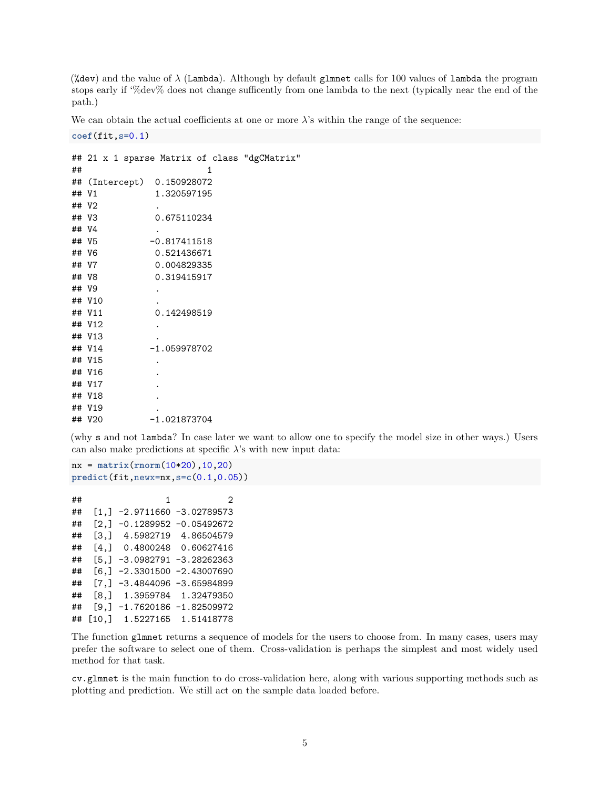(%dev) and the value of  $\lambda$  (Lambda). Although by default glmnet calls for 100 values of lambda the program stops early if '%dev% does not change sufficently from one lambda to the next (typically near the end of the path.)

We can obtain the actual coefficients at one or more  $\lambda$ 's within the range of the sequence:

**coef**(fit,s=0.1)

```
## 21 x 1 sparse Matrix of class "dgCMatrix"
\# \# \qquad \qquad \qquad \qquad \qquad \qquad \qquad \qquad \qquad \qquad \qquad \qquad \qquad \qquad \qquad \qquad \qquad \qquad \qquad \qquad \qquad \qquad \qquad \qquad \qquad \qquad \qquad \qquad \qquad \qquad \qquad \qquad \qquad \qquad \qquad ## (Intercept) 0.150928072
## V1 1.320597195
## V2 .
## V3 0.675110234
## V4 .
## V5 -0.817411518
## V6 0.521436671
## V7 0.004829335
## V8 0.319415917
## V9 .
## V10
## V11 0.142498519
## V12
## V13
## V14 -1.059978702
## V15
## V16
## V17
## V18
## V19
## V20 -1.021873704
```
(why s and not lambda? In case later we want to allow one to specify the model size in other ways.) Users can also make predictions at specific  $\lambda$ 's with new input data:

```
nx = matrix(rnorm(10*20),10,20)
predict(fit,newx=nx,s=c(0.1,0.05))
```

```
\# \# \frac{1}{2} \frac{2}{2}## [1,] -2.9711660 -3.02789573
## [2,] -0.1289952 -0.05492672
## [3,] 4.5982719 4.86504579
## [4,] 0.4800248 0.60627416
## [5,] -3.0982791 -3.28262363
## [6,] -2.3301500 -2.43007690
## [7,] -3.4844096 -3.65984899
## [8,] 1.3959784 1.32479350
## [9,] -1.7620186 -1.82509972
## [10,] 1.5227165 1.51418778
```
The function glmnet returns a sequence of models for the users to choose from. In many cases, users may prefer the software to select one of them. Cross-validation is perhaps the simplest and most widely used method for that task.

cv.glmnet is the main function to do cross-validation here, along with various supporting methods such as plotting and prediction. We still act on the sample data loaded before.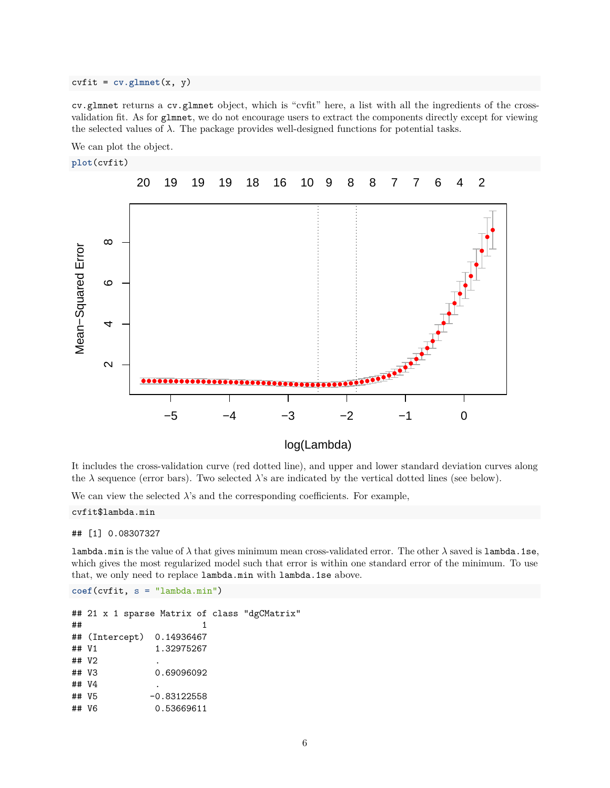#### $\text{c}\text{v}\text{fit} = \text{cv}\text{.glmnet}(x, y)$

cv.glmnet returns a cv.glmnet object, which is "cvfit" here, a list with all the ingredients of the crossvalidation fit. As for glmnet, we do not encourage users to extract the components directly except for viewing the selected values of  $\lambda$ . The package provides well-designed functions for potential tasks.

We can plot the object.

#### **plot**(cvfit)



It includes the cross-validation curve (red dotted line), and upper and lower standard deviation curves along the  $\lambda$  sequence (error bars). Two selected  $\lambda$ 's are indicated by the vertical dotted lines (see below).

We can view the selected  $\lambda$ 's and the corresponding coefficients. For example,

#### cvfit\$lambda.min

#### ## [1] 0.08307327

lambda.min is the value of  $\lambda$  that gives minimum mean cross-validated error. The other  $\lambda$  saved is lambda.1se, which gives the most regularized model such that error is within one standard error of the minimum. To use that, we only need to replace lambda.min with lambda.1se above.

```
coef(cvfit, s = "lambda.min")
```
## 21 x 1 sparse Matrix of class "dgCMatrix"  $\#$   $\#$   $\qquad$   $\qquad$   $\qquad$   $\qquad$   $\qquad$   $\qquad$   $\qquad$   $\qquad$   $\qquad$   $\qquad$   $\qquad$   $\qquad$   $\qquad$   $\qquad$   $\qquad$   $\qquad$   $\qquad$   $\qquad$   $\qquad$   $\qquad$   $\qquad$   $\qquad$   $\qquad$   $\qquad$   $\qquad$   $\qquad$   $\qquad$   $\qquad$   $\qquad$   $\qquad$   $\qquad$   $\qquad$   $\qquad$   $\qquad$   $\qquad$  ## (Intercept) 0.14936467 ## V1 1.32975267 ## V2 . ## V3 0.69096092 ## V4 . ## V5 -0.83122558 ## V6 0.53669611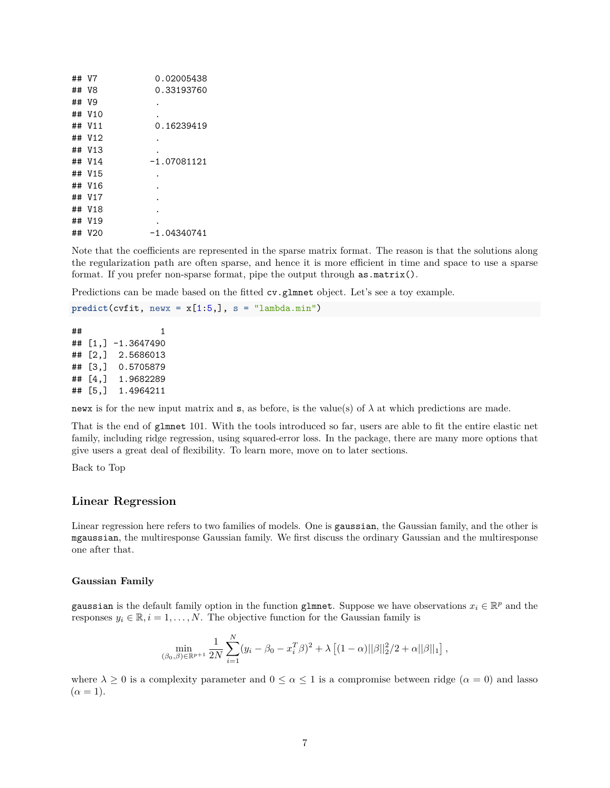| ## V7  | 0.02005438    |
|--------|---------------|
| ## V8  | 0.33193760    |
| ## V9  |               |
| ## V10 |               |
| ## V11 | 0.16239419    |
| ## V12 |               |
| ## V13 |               |
| ## V14 | $-1.07081121$ |
| ## V15 |               |
| ## V16 |               |
| ## V17 |               |
| ## V18 |               |
| ## V19 |               |
| ## V20 | $-1.04340741$ |

Note that the coefficients are represented in the sparse matrix format. The reason is that the solutions along the regularization path are often sparse, and hence it is more efficient in time and space to use a sparse format. If you prefer non-sparse format, pipe the output through as.matrix().

Predictions can be made based on the fitted cv.glmnet object. Let's see a toy example.

 $predict(cvfit, newx = x[1:5,], s = "lambda.min")$ 

```
\# \# \qquad \qquad \qquad \qquad \qquad \qquad \qquad \qquad \qquad \qquad \qquad \qquad \qquad \qquad \qquad \qquad \qquad \qquad \qquad \qquad \qquad \qquad \qquad \qquad \qquad \qquad \qquad \qquad \qquad \qquad \qquad \qquad \qquad \qquad \qquad ## [1,] -1.3647490
## [2,] 2.5686013
## [3,] 0.5705879
## [4,] 1.9682289
## [5,] 1.4964211
```
news is for the new input matrix and  $s$ , as before, is the value(s) of  $\lambda$  at which predictions are made.

That is the end of glmnet 101. With the tools introduced so far, users are able to fit the entire elastic net family, including ridge regression, using squared-error loss. In the package, there are many more options that give users a great deal of flexibility. To learn more, move on to later sections.

[Back to Top](#page-0-0)

### **Linear Regression**

Linear regression here refers to two families of models. One is gaussian, the Gaussian family, and the other is mgaussian, the multiresponse Gaussian family. We first discuss the ordinary Gaussian and the multiresponse one after that.

#### **Gaussian Family**

gaussian is the default family option in the function glmnet. Suppose we have observations  $x_i \in \mathbb{R}^p$  and the responses  $y_i \in \mathbb{R}, i = 1, \ldots, N$ . The objective function for the Gaussian family is

$$
\min_{(\beta_0,\beta)\in\mathbb{R}^{p+1}} \frac{1}{2N} \sum_{i=1}^N (y_i - \beta_0 - x_i^T \beta)^2 + \lambda \left[ (1-\alpha) ||\beta||_2^2 / 2 + \alpha ||\beta||_1 \right],
$$

where  $\lambda \geq 0$  is a complexity parameter and  $0 \leq \alpha \leq 1$  is a compromise between ridge  $(\alpha = 0)$  and lasso  $(\alpha = 1).$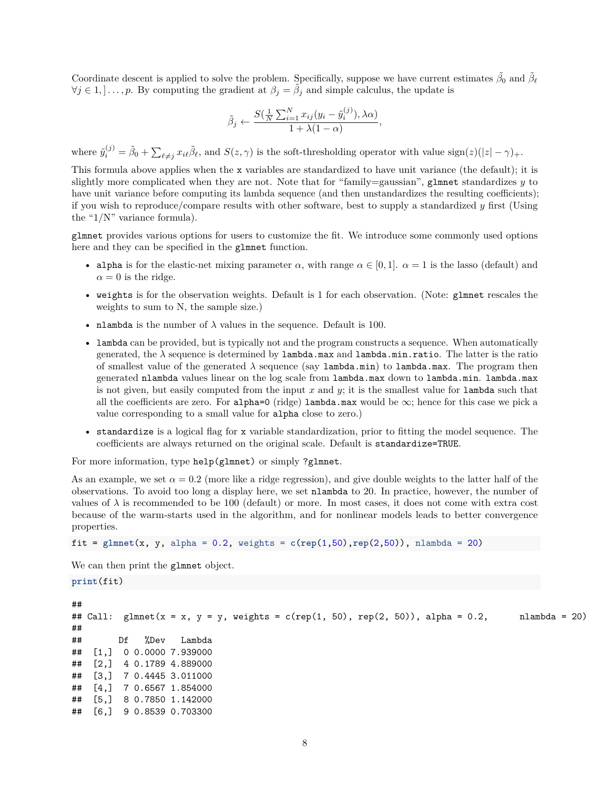Coordinate descent is applied to solve the problem. Specifically, suppose we have current estimates  $\tilde{\beta}_0$  and  $\tilde{\beta}_\ell$  $\forall j \in [1, \dots, p]$ . By computing the gradient at  $\beta_j = \tilde{\beta}_j$  and simple calculus, the update is

$$
\tilde{\beta}_j \leftarrow \frac{S(\frac{1}{N}\sum_{i=1}^N x_{ij}(y_i - \tilde{y}_i^{(j)}), \lambda \alpha)}{1 + \lambda(1 - \alpha)},
$$

where  $\tilde{y}_i^{(j)} = \tilde{\beta}_0 + \sum_{\ell \neq j} x_{i\ell} \tilde{\beta}_\ell$ , and  $S(z, \gamma)$  is the soft-thresholding operator with value sign(*z*)(|*z*| –  $\gamma$ )<sub>+</sub>.

This formula above applies when the x variables are standardized to have unit variance (the default); it is slightly more complicated when they are not. Note that for "family=gaussian", glmnet standardizes  $y$  to have unit variance before computing its lambda sequence (and then unstandardizes the resulting coefficients); if you wish to reproduce/compare results with other software, best to supply a standardized *y* first (Using the "1/N" variance formula).

glmnet provides various options for users to customize the fit. We introduce some commonly used options here and they can be specified in the glmnet function.

- alpha is for the elastic-net mixing parameter  $\alpha$ , with range  $\alpha \in [0,1]$ .  $\alpha = 1$  is the lasso (default) and  $\alpha = 0$  is the ridge.
- weights is for the observation weights. Default is 1 for each observation. (Note: glmnet rescales the weights to sum to N, the sample size.)
- nlambda is the number of  $\lambda$  values in the sequence. Default is 100.
- lambda can be provided, but is typically not and the program constructs a sequence. When automatically generated, the  $\lambda$  sequence is determined by  $\lambda$  nambda.max and  $\lambda$  ambda.min.ratio. The latter is the ratio of smallest value of the generated  $\lambda$  sequence (say  $lambda.min$ ) to  $lambda.max$ . The program then generated nlambda values linear on the log scale from lambda.max down to lambda.min. lambda.max is not given, but easily computed from the input *x* and *y*; it is the smallest value for lambda such that all the coefficients are zero. For alpha=0 (ridge) lambda.max would be  $\infty$ ; hence for this case we pick a value corresponding to a small value for alpha close to zero.)
- standardize is a logical flag for x variable standardization, prior to fitting the model sequence. The coefficients are always returned on the original scale. Default is standardize=TRUE.

For more information, type help(glmnet) or simply ?glmnet.

As an example, we set  $\alpha = 0.2$  (more like a ridge regression), and give double weights to the latter half of the observations. To avoid too long a display here, we set nlambda to 20. In practice, however, the number of values of  $\lambda$  is recommended to be 100 (default) or more. In most cases, it does not come with extra cost because of the warm-starts used in the algorithm, and for nonlinear models leads to better convergence properties.

```
fit = glmnet(x, y, alpha = 0.2, weights = c(rep(1,50),rep(2,50)), nlambda = 20)
```
We can then print the glmnet object.

#### **print**(fit)

## ## Call: glmnet( $x = x$ ,  $y = y$ , weights = c(rep(1, 50), rep(2, 50)), alpha = 0.2, nlambda = 20) ## ## Df %Dev Lambda ## [1,] 0 0.0000 7.939000 ## [2,] 4 0.1789 4.889000 ## [3,] 7 0.4445 3.011000 ## [4,] 7 0.6567 1.854000 ## [5,] 8 0.7850 1.142000 ## [6,] 9 0.8539 0.703300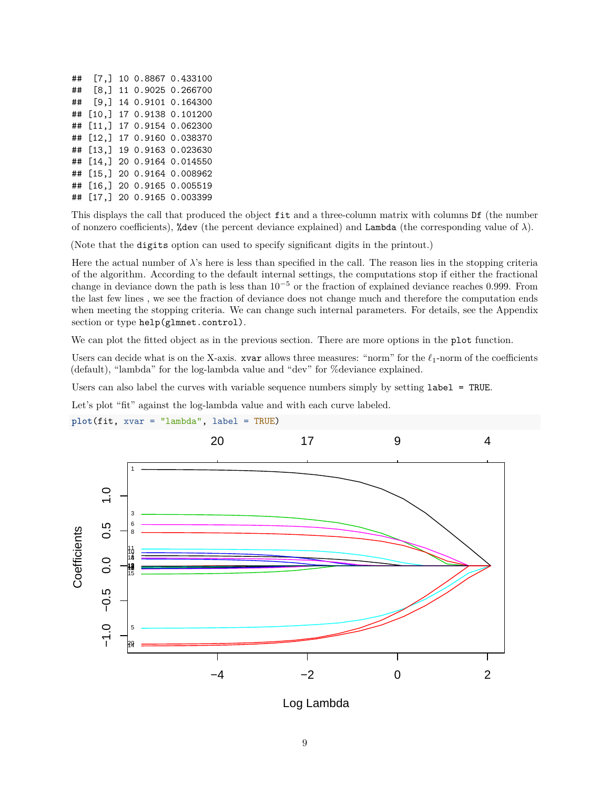| ## | [7.]                 |  | 10 0.8867 0.433100 |
|----|----------------------|--|--------------------|
| ## | [8,]                 |  | 11 0.9025 0.266700 |
| ## | $[9,$ ]              |  | 14 0.9101 0.164300 |
| ## | $\lceil 10.1 \rceil$ |  | 17 0.9138 0.101200 |
| ## | [11,]                |  | 17 0.9154 0.062300 |
| ## | [12,]                |  | 17 0.9160 0.038370 |
| ## | [13.1]               |  | 19 0.9163 0.023630 |
| ## | [14.1]               |  | 20 0.9164 0.014550 |
| ## | [15,]                |  | 20 0.9164 0.008962 |
| ## | [16.1]               |  | 20 0.9165 0.005519 |
| ## | [17.1]               |  | 20 0.9165 0.003399 |

This displays the call that produced the object fit and a three-column matrix with columns Df (the number of nonzero coefficients), %dev (the percent deviance explained) and Lambda (the corresponding value of *λ*).

(Note that the digits option can used to specify significant digits in the printout.)

Here the actual number of  $\lambda$ 's here is less than specified in the call. The reason lies in the stopping criteria of the algorithm. According to the default internal settings, the computations stop if either the fractional change in deviance down the path is less than 10−<sup>5</sup> or the fraction of explained deviance reaches 0*.*999. From the last few lines , we see the fraction of deviance does not change much and therefore the computation ends when meeting the stopping criteria. We can change such internal parameters. For details, see the Appendix section or type help(glmnet.control).

We can plot the fitted object as in the previous section. There are more options in the plot function.

Users can decide what is on the X-axis. xvar allows three measures: "norm" for the  $\ell_1$ -norm of the coefficients (default), "lambda" for the log-lambda value and "dev" for %deviance explained.

Users can also label the curves with variable sequence numbers simply by setting label = TRUE.

Let's plot "fit" against the log-lambda value and with each curve labeled.



**plot**(fit, xvar = "lambda", label = TRUE)

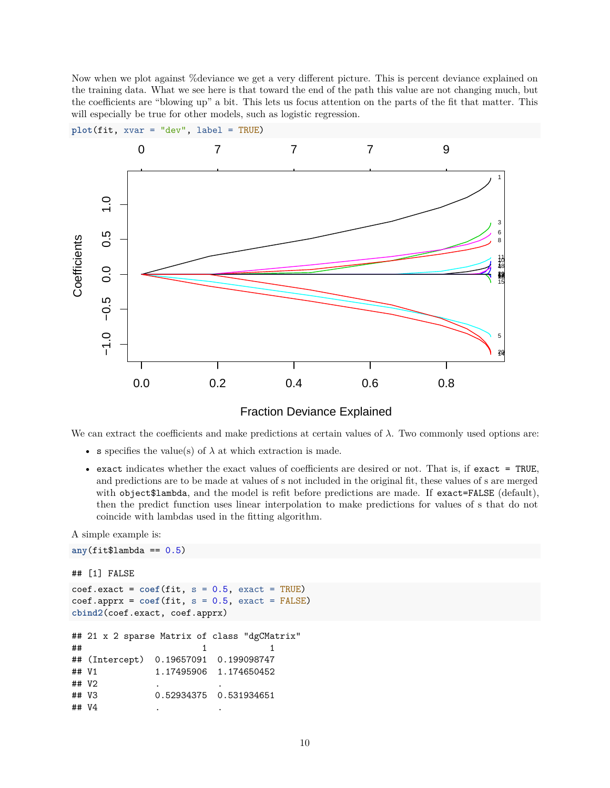Now when we plot against %deviance we get a very different picture. This is percent deviance explained on the training data. What we see here is that toward the end of the path this value are not changing much, but the coefficients are "blowing up" a bit. This lets us focus attention on the parts of the fit that matter. This will especially be true for other models, such as logistic regression.







We can extract the coefficients and make predictions at certain values of  $\lambda$ . Two commonly used options are:

- s specifies the value(s) of  $\lambda$  at which extraction is made.
- exact indicates whether the exact values of coefficients are desired or not. That is, if exact = TRUE, and predictions are to be made at values of s not included in the original fit, these values of s are merged with object\$lambda, and the model is refit before predictions are made. If exact=FALSE (default), then the predict function uses linear interpolation to make predictions for values of s that do not coincide with lambdas used in the fitting algorithm.

A simple example is:

```
any(fit$lambda == 0.5)
## [1] FALSE
\text{coeff}.\text{exact} = \text{coeff}(\text{fit}, s = 0.5, \text{exact} = \text{TRUE})\text{coeff}.apprx = \text{coeff}(\text{fit}, s = 0.5, \text{exact} = \text{FALSE})cbind2(coef.exact, coef.apprx)
## 21 x 2 sparse Matrix of class "dgCMatrix"
\# \# 1 1 1
## (Intercept) 0.19657091 0.199098747
## V1 1.17495906 1.174650452
## V2
## V3 0.52934375 0.531934651
## V4
```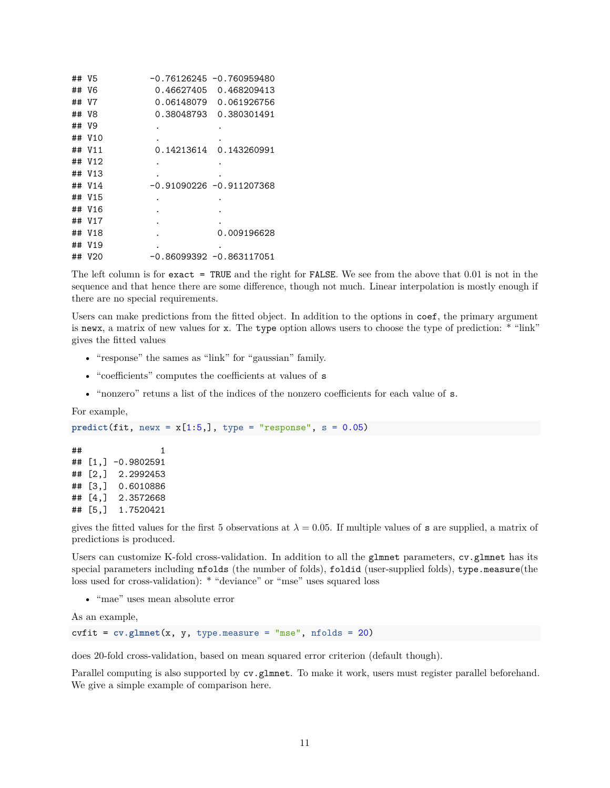| ## V5 |        |            | $-0.76126245 -0.760959480$ |
|-------|--------|------------|----------------------------|
|       | ## V6  | 0.46627405 | 0.468209413                |
| ## V7 |        | 0.06148079 | 0.061926756                |
|       | ## V8  | 0.38048793 | 0.380301491                |
| ## V9 |        |            |                            |
|       | ## V10 |            |                            |
|       | ## V11 | 0.14213614 | 0.143260991                |
|       | ## V12 |            |                            |
|       | ## V13 |            |                            |
|       | ## V14 |            | $-0.91090226 -0.911207368$ |
|       | ## V15 |            |                            |
|       | ## V16 |            |                            |
|       | ## V17 |            |                            |
|       | ## V18 |            | 0.009196628                |
| ##    | V19    |            |                            |
|       | ## V20 |            | $-0.86099392 -0.863117051$ |

The left column is for exact = TRUE and the right for FALSE. We see from the above that 0.01 is not in the sequence and that hence there are some difference, though not much. Linear interpolation is mostly enough if there are no special requirements.

Users can make predictions from the fitted object. In addition to the options in coef, the primary argument is newx, a matrix of new values for x. The type option allows users to choose the type of prediction: \* "link" gives the fitted values

- "response" the sames as "link" for "gaussian" family.
- "coefficients" computes the coefficients at values of s
- "nonzero" retuns a list of the indices of the nonzero coefficients for each value of s.

#### For example,

```
predict(fit, newx = x[1:5,], type = "response", s = 0.05)
```
 $\#$   $\#$   $\qquad$   $\qquad$   $\qquad$   $\qquad$   $\qquad$   $\qquad$   $\qquad$   $\qquad$   $\qquad$   $\qquad$   $\qquad$   $\qquad$   $\qquad$   $\qquad$   $\qquad$   $\qquad$   $\qquad$   $\qquad$   $\qquad$   $\qquad$   $\qquad$   $\qquad$   $\qquad$   $\qquad$   $\qquad$   $\qquad$   $\qquad$   $\qquad$   $\qquad$   $\qquad$   $\qquad$   $\qquad$   $\qquad$   $\qquad$   $\qquad$  ## [1,] -0.9802591 ## [2,] 2.2992453 ## [3,] 0.6010886 ## [4,] 2.3572668 ## [5,] 1.7520421

gives the fitted values for the first 5 observations at  $\lambda = 0.05$ . If multiple values of **s** are supplied, a matrix of predictions is produced.

Users can customize K-fold cross-validation. In addition to all the glmnet parameters, cv.glmnet has its special parameters including nfolds (the number of folds), foldid (user-supplied folds), type.measure(the loss used for cross-validation): \* "deviance" or "mse" uses squared loss

• "mae" uses mean absolute error

As an example,

cvfit = **cv.glmnet**(x, y, type.measure = "mse", nfolds = 20)

does 20-fold cross-validation, based on mean squared error criterion (default though).

Parallel computing is also supported by  $cv$ .glmnet. To make it work, users must register parallel beforehand. We give a simple example of comparison here.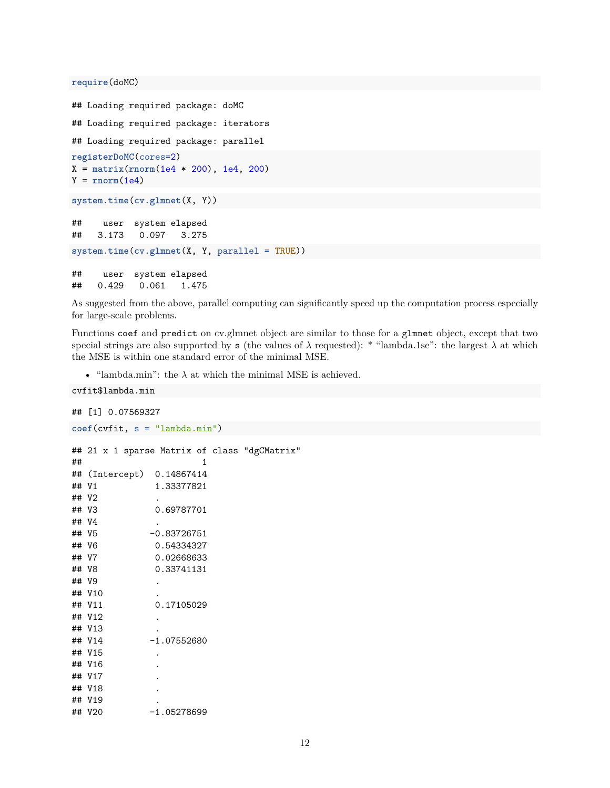**require**(doMC)

```
## Loading required package: doMC
## Loading required package: iterators
## Loading required package: parallel
registerDoMC(cores=2)
X = matrix(rnorm(1e4 * 200), 1e4, 200)
Y = rnorm(1e4)system.time(cv.glmnet(X, Y))
## user system elapsed
## 3.173 0.097 3.275
system.time(cv.glmnet(X, Y, parallel = TRUE))
## user system elapsed
## 0.429 0.061 1.475
```
As suggested from the above, parallel computing can significantly speed up the computation process especially for large-scale problems.

Functions coef and predict on cv.glmnet object are similar to those for a glmnet object, except that two special strings are also supported by s (the values of  $\lambda$  requested): \* "lambda.1se": the largest  $\lambda$  at which the MSE is within one standard error of the minimal MSE.

• "lambda.min": the  $\lambda$  at which the minimal MSE is achieved.

```
cvfit$lambda.min
## [1] 0.07569327
coef(cvfit, s = "lambda.min")
## 21 x 1 sparse Matrix of class "dgCMatrix"
\# \# \qquad \qquad \qquad \qquad \qquad \qquad \qquad \qquad \qquad \qquad \qquad \qquad \qquad \qquad \qquad \qquad \qquad \qquad \qquad \qquad \qquad \qquad \qquad \qquad \qquad \qquad \qquad \qquad \qquad \qquad \qquad \qquad \qquad \qquad \qquad ## (Intercept) 0.14867414
## V1 1.33377821
## V2 .
## V3 0.69787701
## V4 .
## V5 -0.83726751
## V6 0.54334327
## V7 0.02668633
## V8 0.33741131
## V9 .
## V10 .
## V11 0.17105029
## V12 .
## V13
## V14 -1.07552680
## V15 .
## V16 .
## V17 .
## V18 .
## V19 .
## V20 -1.05278699
```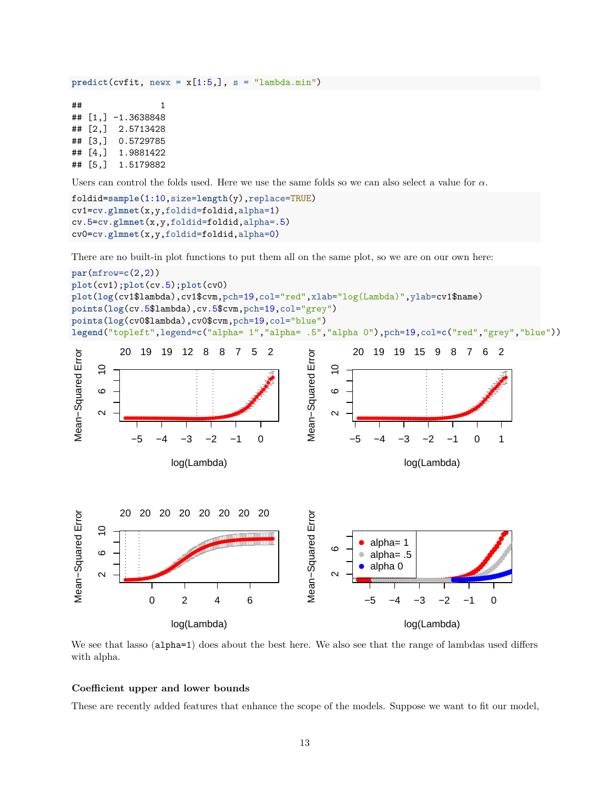$predict(cvfit, newx = x[1:5,], s = "lambda.min")$ 

 $\#$   $\#$   $\qquad$   $\qquad$   $\qquad$   $\qquad$   $\qquad$   $\qquad$   $\qquad$   $\qquad$   $\qquad$   $\qquad$   $\qquad$   $\qquad$   $\qquad$   $\qquad$   $\qquad$   $\qquad$   $\qquad$   $\qquad$   $\qquad$   $\qquad$   $\qquad$   $\qquad$   $\qquad$   $\qquad$   $\qquad$   $\qquad$   $\qquad$   $\qquad$   $\qquad$   $\qquad$   $\qquad$   $\qquad$   $\qquad$   $\qquad$   $\qquad$  ## [1,] -1.3638848 ## [2,] 2.5713428 ## [3,] 0.5729785 ## [4,] 1.9881422 ## [5,] 1.5179882

Users can control the folds used. Here we use the same folds so we can also select a value for *α*.

```
foldid=sample(1:10,size=length(y),replace=TRUE)
cv1=cv.glmnet(x,y,foldid=foldid,alpha=1)
cv.5=cv.glmnet(x,y,foldid=foldid,alpha=.5)
cv0=cv.glmnet(x,y,foldid=foldid,alpha=0)
```
There are no built-in plot functions to put them all on the same plot, so we are on our own here:



We see that lasso (alpha=1) does about the best here. We also see that the range of lambdas used differs with alpha.

## **Coefficient upper and lower bounds**

These are recently added features that enhance the scope of the models. Suppose we want to fit our model,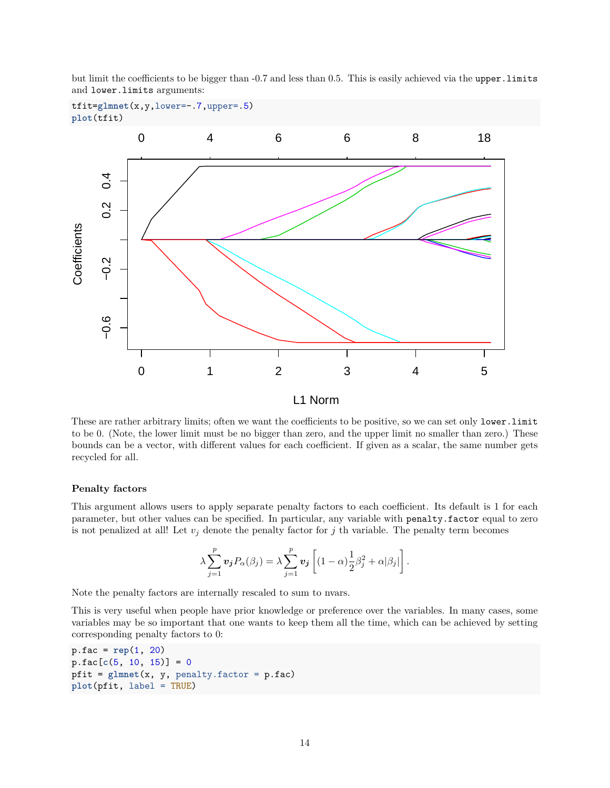but limit the coefficients to be bigger than -0.7 and less than 0.5. This is easily achieved via the upper.limits and lower.limits arguments:

```
tfit=glmnet(x,y,lower=-.7,upper=.5)
plot(tfit)
```


L1 Norm

These are rather arbitrary limits; often we want the coefficients to be positive, so we can set only lower.limit to be 0. (Note, the lower limit must be no bigger than zero, and the upper limit no smaller than zero.) These bounds can be a vector, with different values for each coefficient. If given as a scalar, the same number gets recycled for all.

#### **Penalty factors**

This argument allows users to apply separate penalty factors to each coefficient. Its default is 1 for each parameter, but other values can be specified. In particular, any variable with penalty.factor equal to zero is not penalized at all! Let  $v_j$  denote the penalty factor for  $j$  th variable. The penalty term becomes

$$
\lambda \sum_{j=1}^p v_j P_\alpha(\beta_j) = \lambda \sum_{j=1}^p v_j \left[ (1-\alpha) \frac{1}{2} \beta_j^2 + \alpha |\beta_j| \right].
$$

Note the penalty factors are internally rescaled to sum to nvars.

This is very useful when people have prior knowledge or preference over the variables. In many cases, some variables may be so important that one wants to keep them all the time, which can be achieved by setting corresponding penalty factors to 0:

```
p.fac = rep(1, 20)
p.fac[c(5, 10, 15)] = 0
pfit = glmnet(x, y, penalty.factor = p.fac)
plot(pfit, label = TRUE)
```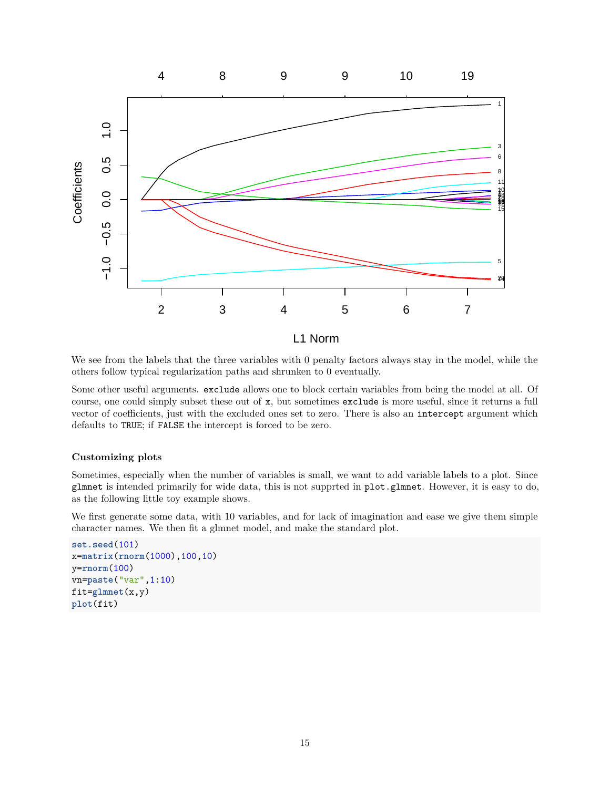

We see from the labels that the three variables with 0 penalty factors always stay in the model, while the others follow typical regularization paths and shrunken to 0 eventually.

Some other useful arguments. exclude allows one to block certain variables from being the model at all. Of course, one could simply subset these out of x, but sometimes exclude is more useful, since it returns a full vector of coefficients, just with the excluded ones set to zero. There is also an intercept argument which defaults to TRUE; if FALSE the intercept is forced to be zero.

### **Customizing plots**

Sometimes, especially when the number of variables is small, we want to add variable labels to a plot. Since glmnet is intended primarily for wide data, this is not supprted in plot.glmnet. However, it is easy to do, as the following little toy example shows.

We first generate some data, with 10 variables, and for lack of imagination and ease we give them simple character names. We then fit a glmnet model, and make the standard plot.

```
set.seed(101)
x=matrix(rnorm(1000),100,10)
y=rnorm(100)
vn=paste("var",1:10)
fit=glmnet(x,y)
plot(fit)
```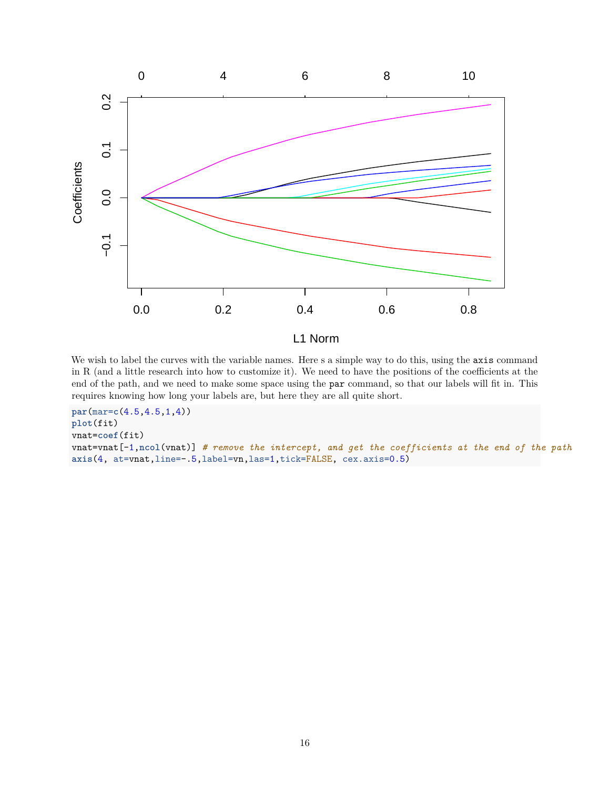

We wish to label the curves with the variable names. Here s a simple way to do this, using the axis command in R (and a little research into how to customize it). We need to have the positions of the coefficients at the end of the path, and we need to make some space using the par command, so that our labels will fit in. This requires knowing how long your labels are, but here they are all quite short.

```
par(mar=c(4.5,4.5,1,4))
plot(fit)
vnat=coef(fit)
vnat=vnat[-1,ncol(vnat)] # remove the intercept, and get the coefficients at the end of the path
axis(4, at=vnat,line=-.5,label=vn,las=1,tick=FALSE, cex.axis=0.5)
```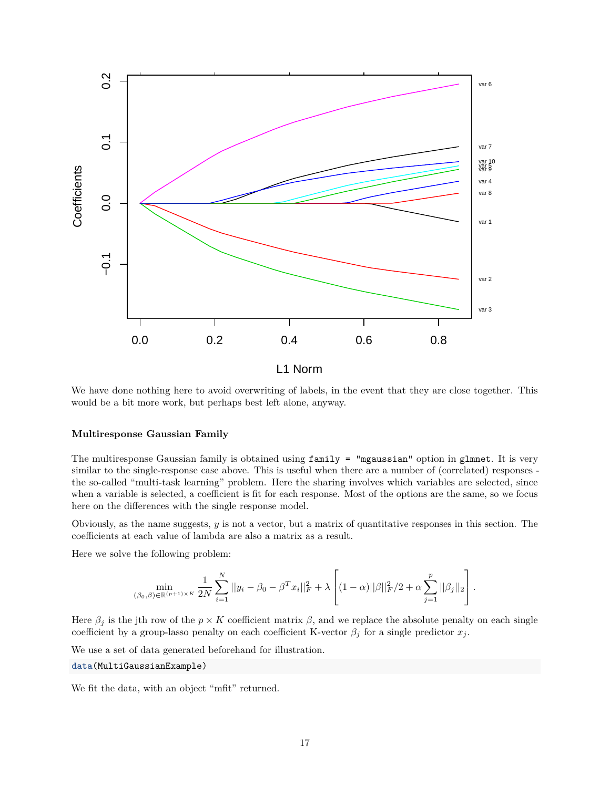

We have done nothing here to avoid overwriting of labels, in the event that they are close together. This would be a bit more work, but perhaps best left alone, anyway.

#### **Multiresponse Gaussian Family**

The multiresponse Gaussian family is obtained using family = "mgaussian" option in glmnet. It is very similar to the single-response case above. This is useful when there are a number of (correlated) responses the so-called "multi-task learning" problem. Here the sharing involves which variables are selected, since when a variable is selected, a coefficient is fit for each response. Most of the options are the same, so we focus here on the differences with the single response model.

Obviously, as the name suggests, *y* is not a vector, but a matrix of quantitative responses in this section. The coefficients at each value of lambda are also a matrix as a result.

Here we solve the following problem:

$$
\min_{(\beta_0,\beta)\in\mathbb{R}^{(p+1)\times K}}\frac{1}{2N}\sum_{i=1}^N||y_i-\beta_0-\beta^Tx_i||_F^2+\lambda\left[(1-\alpha)||\beta||_F^2/2+\alpha\sum_{j=1}^p||\beta_j||_2\right].
$$

Here  $\beta_j$  is the jth row of the  $p \times K$  coefficient matrix  $\beta$ , and we replace the absolute penalty on each single coefficient by a group-lasso penalty on each coefficient K-vector  $\beta_j$  for a single predictor  $x_j$ .

We use a set of data generated beforehand for illustration.

```
data(MultiGaussianExample)
```
We fit the data, with an object "mfit" returned.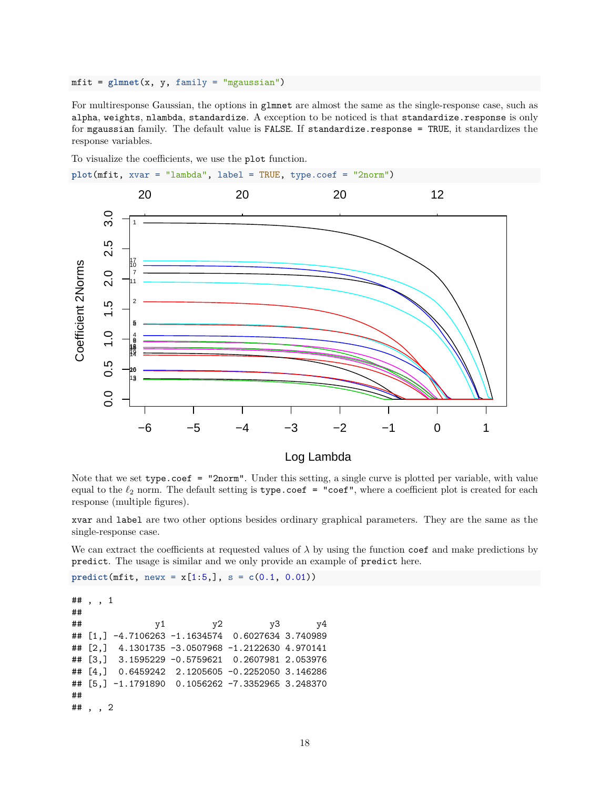mfit = **glmnet**(x, y, family = "mgaussian")

For multiresponse Gaussian, the options in glmnet are almost the same as the single-response case, such as alpha, weights, nlambda, standardize. A exception to be noticed is that standardize.response is only for mgaussian family. The default value is FALSE. If standardize.response = TRUE, it standardizes the response variables.

To visualize the coefficients, we use the plot function.



Log Lambda

Note that we set type.coef = "2norm". Under this setting, a single curve is plotted per variable, with value equal to the  $\ell_2$  norm. The default setting is type.coef = "coef", where a coefficient plot is created for each response (multiple figures).

xvar and label are two other options besides ordinary graphical parameters. They are the same as the single-response case.

We can extract the coefficients at requested values of  $\lambda$  by using the function coef and make predictions by predict. The usage is similar and we only provide an example of predict here.

**predict(mfit, newx =**  $x[1:5,], s = c(0.1, 0.01))$ 

```
## , , 1
##
## y1 y2 y3 y4
## [1,] -4.7106263 -1.1634574 0.6027634 3.740989
## [2,] 4.1301735 -3.0507968 -1.2122630 4.970141
## [3,] 3.1595229 -0.5759621 0.2607981 2.053976
## [4,] 0.6459242 2.1205605 -0.2252050 3.146286
## [5,] -1.1791890 0.1056262 -7.3352965 3.248370
##
## , , 2
```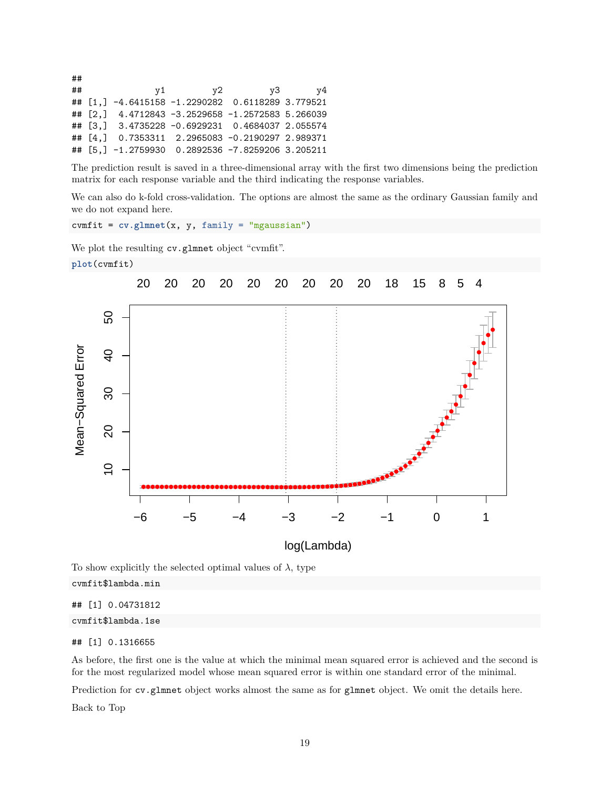## ## y1 y2 y3 y4 ## [1,] -4.6415158 -1.2290282 0.6118289 3.779521 ## [2,] 4.4712843 -3.2529658 -1.2572583 5.266039 ## [3,] 3.4735228 -0.6929231 0.4684037 2.055574 ## [4,] 0.7353311 2.2965083 -0.2190297 2.989371 ## [5,] -1.2759930 0.2892536 -7.8259206 3.205211

The prediction result is saved in a three-dimensional array with the first two dimensions being the prediction matrix for each response variable and the third indicating the response variables.

We can also do k-fold cross-validation. The options are almost the same as the ordinary Gaussian family and we do not expand here.

cvmfit = **cv.glmnet**(x, y, family = "mgaussian")

We plot the resulting  $cv$  glmnet object "cvmfit".





To show explicitly the selected optimal values of  $\lambda$ , type

| cvmfit\$lambda.min |
|--------------------|
|--------------------|

## [1] 0.04731812

cvmfit\$lambda.1se

### ## [1] 0.1316655

As before, the first one is the value at which the minimal mean squared error is achieved and the second is for the most regularized model whose mean squared error is within one standard error of the minimal.

Prediction for cv.glmnet object works almost the same as for glmnet object. We omit the details here.

[Back to Top](#page-0-0)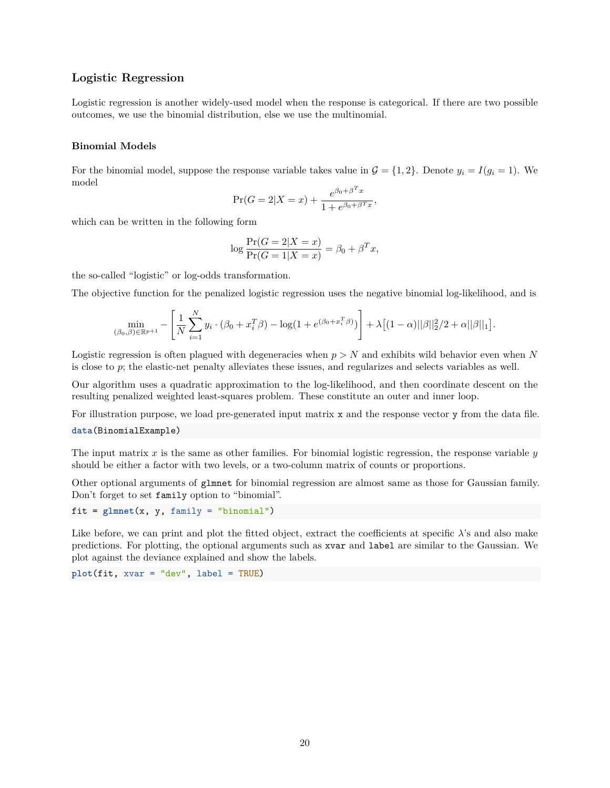### **Logistic Regression**

Logistic regression is another widely-used model when the response is categorical. If there are two possible outcomes, we use the binomial distribution, else we use the multinomial.

#### **Binomial Models**

For the binomial model, suppose the response variable takes value in  $\mathcal{G} = \{1, 2\}$ . Denote  $y_i = I(g_i = 1)$ . We model  $\Delta T$ 

$$
\Pr(G = 2|X = x) + \frac{e^{\beta_0 + \beta^T x}}{1 + e^{\beta_0 + \beta^T x}},
$$

which can be written in the following form

$$
\log \frac{\Pr(G=2|X=x)}{\Pr(G=1|X=x)} = \beta_0 + \beta^T x,
$$

the so-called "logistic" or log-odds transformation.

The objective function for the penalized logistic regression uses the negative binomial log-likelihood, and is

$$
\min_{(\beta_0,\beta)\in\mathbb{R}^{p+1}} - \left[ \frac{1}{N} \sum_{i=1}^N y_i \cdot (\beta_0 + x_i^T \beta) - \log(1 + e^{(\beta_0 + x_i^T \beta)}) \right] + \lambda \left[ (1-\alpha) ||\beta||_2^2 / 2 + \alpha ||\beta||_1 \right].
$$

Logistic regression is often plagued with degeneracies when *p > N* and exhibits wild behavior even when *N* is close to *p*; the elastic-net penalty alleviates these issues, and regularizes and selects variables as well.

Our algorithm uses a quadratic approximation to the log-likelihood, and then coordinate descent on the resulting penalized weighted least-squares problem. These constitute an outer and inner loop.

For illustration purpose, we load pre-generated input matrix x and the response vector y from the data file. **data**(BinomialExample)

The input matrix *x* is the same as other families. For binomial logistic regression, the response variable *y* should be either a factor with two levels, or a two-column matrix of counts or proportions.

Other optional arguments of glmnet for binomial regression are almost same as those for Gaussian family. Don't forget to set family option to "binomial".

fit = **glmnet**(x, y, family = "binomial")

Like before, we can print and plot the fitted object, extract the coefficients at specific  $\lambda$ 's and also make predictions. For plotting, the optional arguments such as xvar and label are similar to the Gaussian. We plot against the deviance explained and show the labels.

**plot**(fit, xvar = "dev", label = TRUE)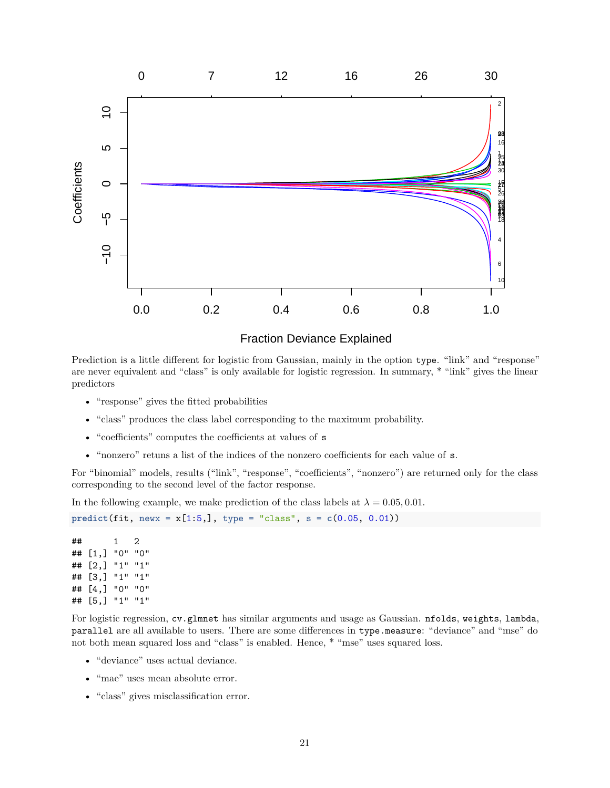

Prediction is a little different for logistic from Gaussian, mainly in the option type. "link" and "response" are never equivalent and "class" is only available for logistic regression. In summary, \* "link" gives the linear predictors

- "response" gives the fitted probabilities
- "class" produces the class label corresponding to the maximum probability.
- "coefficients" computes the coefficients at values of s
- "nonzero" retuns a list of the indices of the nonzero coefficients for each value of s.

For "binomial" models, results ("link", "response", "coefficients", "nonzero") are returned only for the class corresponding to the second level of the factor response.

In the following example, we make prediction of the class labels at  $\lambda = 0.05, 0.01$ .

**predict(fit, newx =**  $x[1:5,]$ **, type = "class", s =**  $c(0.05, 0.01)$ **)** 

## 1 2 ## [1,] "0" "0" ## [2,] "1" "1" ## [3,] "1" "1" ## [4,] "0" "0" ## [5,] "1" "1"

For logistic regression, cv.glmnet has similar arguments and usage as Gaussian. nfolds, weights, lambda, parallel are all available to users. There are some differences in type.measure: "deviance" and "mse" do not both mean squared loss and "class" is enabled. Hence,  $*$  "mse" uses squared loss.

- "deviance" uses actual deviance.
- "mae" uses mean absolute error.
- "class" gives misclassification error.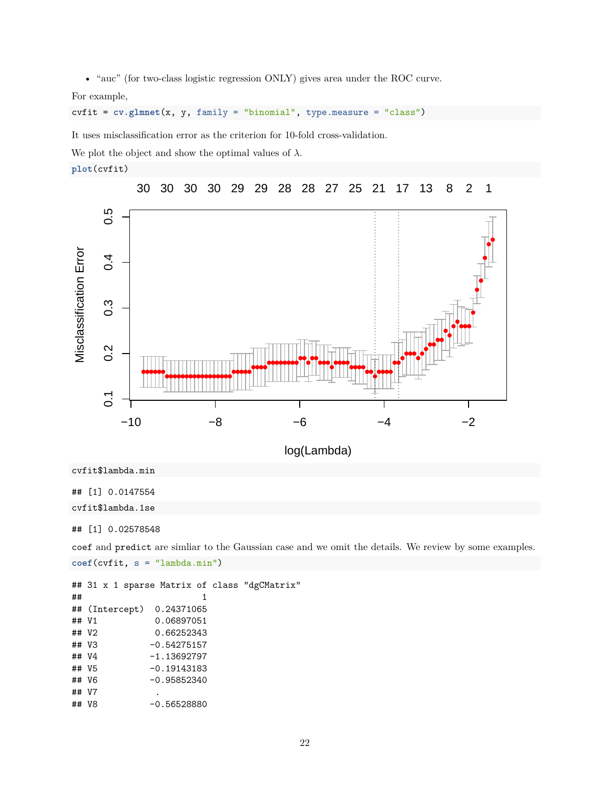• "auc" (for two-class logistic regression ONLY) gives area under the ROC curve.

For example,

cvfit = **cv.glmnet**(x, y, family = "binomial", type.measure = "class")

It uses misclassification error as the criterion for 10-fold cross-validation.

We plot the object and show the optimal values of  $\lambda$ .





log(Lambda)

cvfit\$lambda.min

## [1] 0.0147554

cvfit\$lambda.1se

## [1] 0.02578548

coef and predict are simliar to the Gaussian case and we omit the details. We review by some examples.

```
coef(cvfit, s = "lambda.min")
```
## 31 x 1 sparse Matrix of class "dgCMatrix"  $\#$   $\#$   $\qquad$   $\qquad$   $\qquad$   $\qquad$   $\qquad$   $\qquad$   $\qquad$   $\qquad$   $\qquad$   $\qquad$   $\qquad$   $\qquad$   $\qquad$   $\qquad$   $\qquad$   $\qquad$   $\qquad$   $\qquad$   $\qquad$   $\qquad$   $\qquad$   $\qquad$   $\qquad$   $\qquad$   $\qquad$   $\qquad$   $\qquad$   $\qquad$   $\qquad$   $\qquad$   $\qquad$   $\qquad$   $\qquad$   $\qquad$   $\qquad$  ## (Intercept) 0.24371065 ## V1 0.06897051 ## V2 0.66252343 ## V3 -0.54275157 ## V4 -1.13692797 ## V5 -0.19143183 ## V6 -0.95852340 ## V7 . ## V8 -0.56528880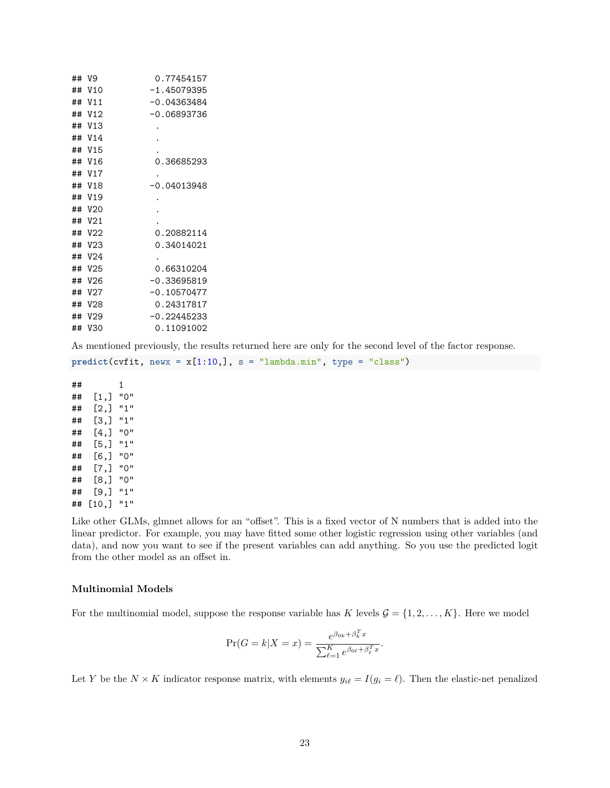| ## | V9              | 0.77454157    |
|----|-----------------|---------------|
| ## | V10             | $-1.45079395$ |
| ## | V11             | $-0.04363484$ |
| ## | V <sub>12</sub> | -0.06893736   |
| ## | V13             |               |
| ## | V14             |               |
| ## | <b>V15</b>      |               |
| ## | V <sub>16</sub> | 0.36685293    |
| ## | V <sub>17</sub> |               |
| ## | V18             | $-0.04013948$ |
| ## | V19             |               |
| ## | V20             |               |
| ## | V <sub>21</sub> |               |
| ## | V22             | 0.20882114    |
| ## | V <sub>23</sub> | 0.34014021    |
| ## | V24             |               |
| ## | V25             | 0.66310204    |
| ## | V26             | $-0.33695819$ |
| ## | V27             | $-0.10570477$ |
| ## | <b>V28</b>      | 0.24317817    |
| ## | V <sub>29</sub> | $-0.22445233$ |
| ## | V30             | 0.11091002    |

As mentioned previously, the results returned here are only for the second level of the factor response.

 $predict(cvfit, newx = x[1:10,], s = "lambda.min", type = "class")$ 

## 1 ## [1,] "0" ## [2,] "1" ## [3,] "1" ## [4,] "0" ## [5,] "1" ## [6,] "0" ## [7,] "0" ## [8,] "0" ## [9,] "1" ## [10,] "1"

Like other GLMs, glmnet allows for an "offset". This is a fixed vector of N numbers that is added into the linear predictor. For example, you may have fitted some other logistic regression using other variables (and data), and now you want to see if the present variables can add anything. So you use the predicted logit from the other model as an offset in.

#### **Multinomial Models**

For the multinomial model, suppose the response variable has *K* levels  $\mathcal{G} = \{1, 2, ..., K\}$ . Here we model

$$
\Pr(G = k | X = x) = \frac{e^{\beta_{0k} + \beta_k^T x}}{\sum_{\ell=1}^K e^{\beta_{0\ell} + \beta_\ell^T x}}.
$$

Let *Y* be the  $N \times K$  indicator response matrix, with elements  $y_{i\ell} = I(g_i = \ell)$ . Then the elastic-net penalized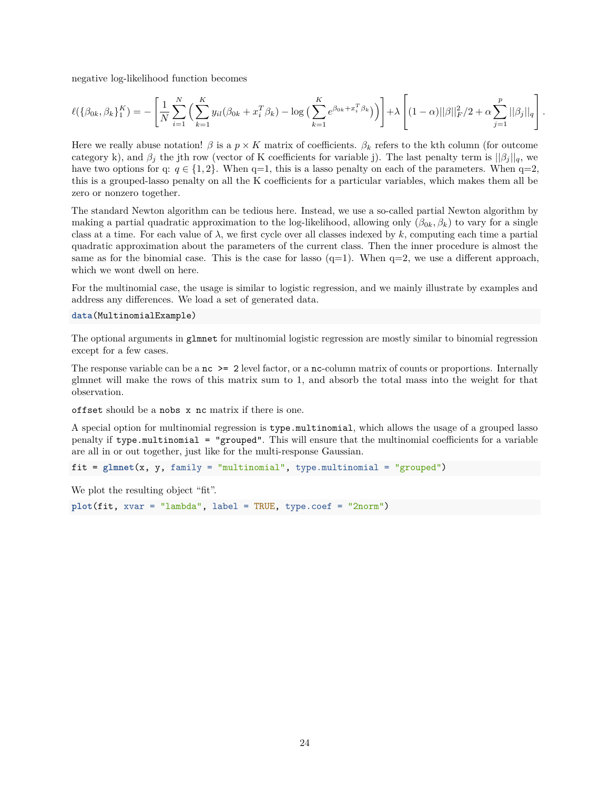negative log-likelihood function becomes

$$
\ell(\{\beta_{0k}, \beta_k\}_{1}^K) = -\left[\frac{1}{N} \sum_{i=1}^N \left(\sum_{k=1}^K y_{il}(\beta_{0k} + x_i^T \beta_k) - \log\left(\sum_{k=1}^K e^{\beta_{0k} + x_i^T \beta_k}\right)\right)\right] + \lambda \left[ (1-\alpha) ||\beta||_F^2 / 2 + \alpha \sum_{j=1}^p ||\beta_j||_q \right].
$$

Here we really abuse notation!  $\beta$  is a  $p \times K$  matrix of coefficients.  $\beta_k$  refers to the kth column (for outcome category k), and  $\beta_i$  the jth row (vector of K coefficients for variable j). The last penalty term is  $||\beta_i||_q$ , we have two options for q:  $q \in \{1, 2\}$ . When q=1, this is a lasso penalty on each of the parameters. When q=2, this is a grouped-lasso penalty on all the K coefficients for a particular variables, which makes them all be zero or nonzero together.

The standard Newton algorithm can be tedious here. Instead, we use a so-called partial Newton algorithm by making a partial quadratic approximation to the log-likelihood, allowing only  $(\beta_{0k}, \beta_k)$  to vary for a single class at a time. For each value of  $\lambda$ , we first cycle over all classes indexed by  $k$ , computing each time a partial quadratic approximation about the parameters of the current class. Then the inner procedure is almost the same as for the binomial case. This is the case for lasso  $(q=1)$ . When  $q=2$ , we use a different approach, which we wont dwell on here.

For the multinomial case, the usage is similar to logistic regression, and we mainly illustrate by examples and address any differences. We load a set of generated data.

```
data(MultinomialExample)
```
The optional arguments in glmnet for multinomial logistic regression are mostly similar to binomial regression except for a few cases.

The response variable can be a  $nc \ge 2$  level factor, or a  $nc$ -column matrix of counts or proportions. Internally glmnet will make the rows of this matrix sum to 1, and absorb the total mass into the weight for that observation.

offset should be a nobs x nc matrix if there is one.

A special option for multinomial regression is type.multinomial, which allows the usage of a grouped lasso penalty if type.multinomial = "grouped". This will ensure that the multinomial coefficients for a variable are all in or out together, just like for the multi-response Gaussian.

```
fit = glmnet(x, y, family = "multinomial", type.multinomial = "grouped")
```
We plot the resulting object "fit".

```
plot(fit, xvar = "lambda", label = TRUE, type.coef = "2norm")
```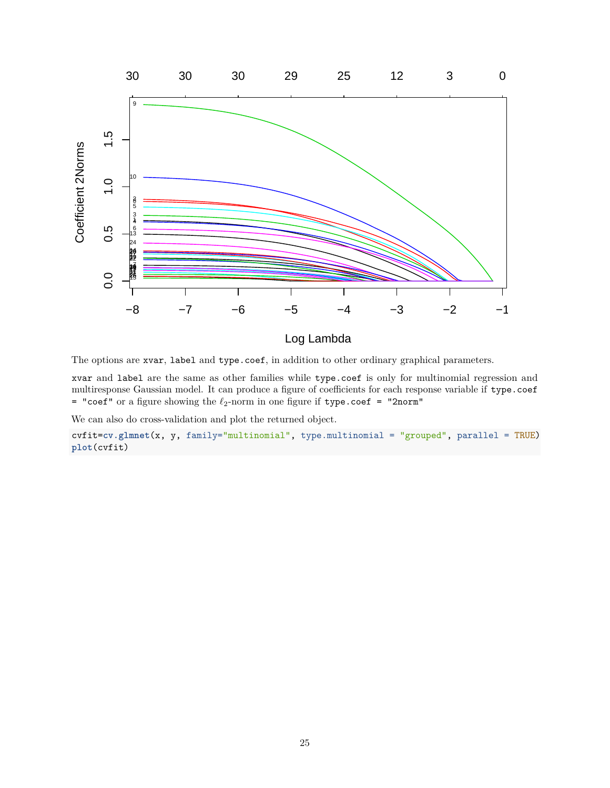

The options are xvar, label and type.coef, in addition to other ordinary graphical parameters.

xvar and label are the same as other families while type.coef is only for multinomial regression and multiresponse Gaussian model. It can produce a figure of coefficients for each response variable if type.coef = "coef" or a figure showing the  $\ell_2$ -norm in one figure if type.coef = "2norm"

We can also do cross-validation and plot the returned object.

cvfit=**cv.glmnet**(x, y, family="multinomial", type.multinomial = "grouped", parallel = TRUE) **plot**(cvfit)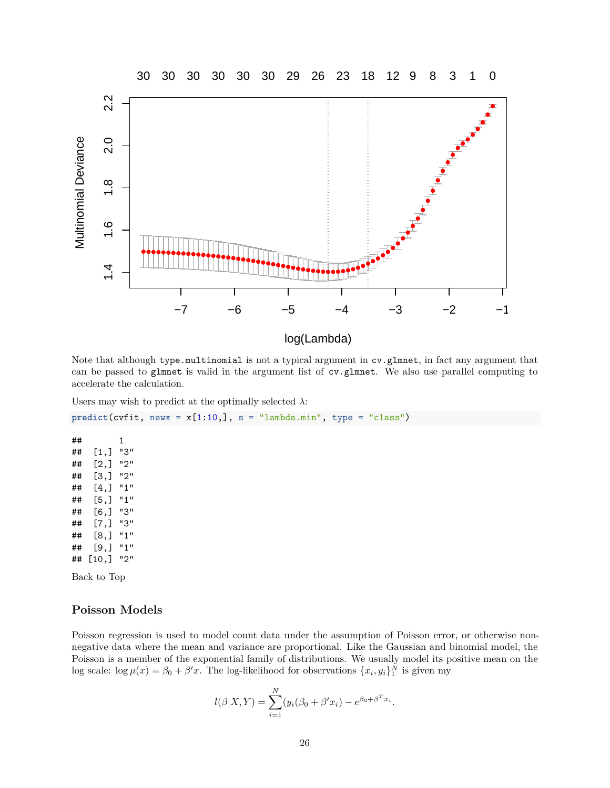

Note that although type.multinomial is not a typical argument in cv.glmnet, in fact any argument that can be passed to glmnet is valid in the argument list of cv.glmnet. We also use parallel computing to accelerate the calculation.

Users may wish to predict at the optimally selected  $\lambda$ :

 $predict(cvfit, newx = x[1:10,], s = "lambda.min", type = "class")$ 

## 1 ## [1,] "3" ## [2,] "2" ## [3,] "2" ## [4,] "1" ## [5,] "1" ## [6,] "3" ## [7,] "3" ## [8,] "1" ## [9,] "1" ## [10,] "2"

[Back to Top](#page-0-0)

## **Poisson Models**

Poisson regression is used to model count data under the assumption of Poisson error, or otherwise nonnegative data where the mean and variance are proportional. Like the Gaussian and binomial model, the Poisson is a member of the exponential family of distributions. We usually model its positive mean on the log scale:  $\log \mu(x) = \beta_0 + \beta' x$ . The log-likelihood for observations  $\{x_i, y_i\}_1^N$  is given my

$$
l(\beta|X,Y) = \sum_{i=1}^{N} (y_i(\beta_0 + \beta'x_i) - e^{\beta_0 + \beta^T x_i}.
$$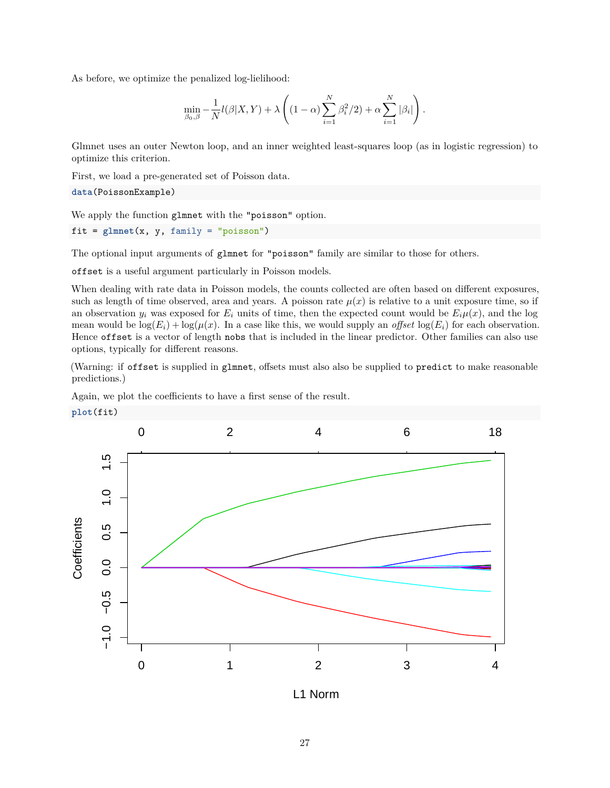As before, we optimize the penalized log-lielihood:

$$
\min_{\beta_0, \beta} -\frac{1}{N} l(\beta | X, Y) + \lambda \left( (1 - \alpha) \sum_{i=1}^N \beta_i^2/2 \right) + \alpha \sum_{i=1}^N |\beta_i| \right).
$$

Glmnet uses an outer Newton loop, and an inner weighted least-squares loop (as in logistic regression) to optimize this criterion.

First, we load a pre-generated set of Poisson data.

**data**(PoissonExample)

We apply the function glmnet with the "poisson" option.

 $fit = glmnet(x, y, family = "poisson")$ 

The optional input arguments of glmnet for "poisson" family are similar to those for others.

offset is a useful argument particularly in Poisson models.

When dealing with rate data in Poisson models, the counts collected are often based on different exposures, such as length of time observed, area and years. A poisson rate  $\mu(x)$  is relative to a unit exposure time, so if an observation  $y_i$  was exposed for  $E_i$  units of time, then the expected count would be  $E_i\mu(x)$ , and the log mean would be  $\log(E_i) + \log(\mu(x))$ . In a case like this, we would supply an *offset*  $\log(E_i)$  for each observation. Hence offset is a vector of length nobs that is included in the linear predictor. Other families can also use options, typically for different reasons.

(Warning: if offset is supplied in glmnet, offsets must also also be supplied to predict to make reasonable predictions.)

Again, we plot the coefficients to have a first sense of the result.





L1 Norm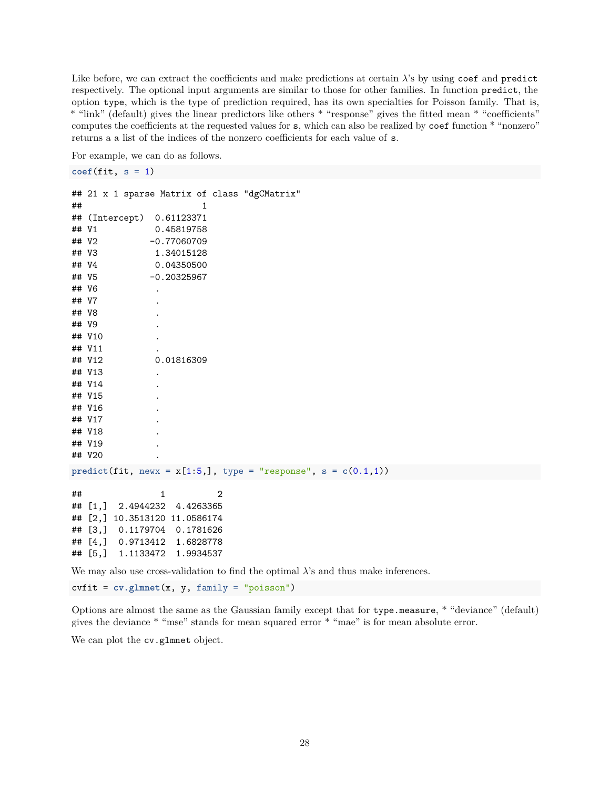Like before, we can extract the coefficients and make predictions at certain *λ*'s by using coef and predict respectively. The optional input arguments are similar to those for other families. In function predict, the option type, which is the type of prediction required, has its own specialties for Poisson family. That is, \* "link" (default) gives the linear predictors like others \* "response" gives the fitted mean \* "coefficients" computes the coefficients at the requested values for s, which can also be realized by coef function \* "nonzero" returns a a list of the indices of the nonzero coefficients for each value of s.

For example, we can do as follows.

```
\text{coeff}(\text{fit}, s = 1)
```

```
## 21 x 1 sparse Matrix of class "dgCMatrix"
\# \# \qquad \qquad \qquad \qquad \qquad \qquad \qquad \qquad \qquad \qquad \qquad \qquad \qquad \qquad \qquad \qquad \qquad \qquad \qquad \qquad \qquad \qquad \qquad \qquad \qquad \qquad \qquad \qquad \qquad \qquad \qquad \qquad \qquad \qquad \qquad ## (Intercept) 0.61123371
## V1 0.45819758
## V2 -0.77060709
## V3 1.34015128
## V4 0.04350500
## V5 -0.20325967
## V6 .
## V7 .
## V8 .
## V9 .
## V10 .
## V11
## V12 0.01816309
## V13
## V14
## V15 .
## V16
## V17
## V18
## V19
## V20 .
predict(fit, newx = x[1:5,], type = "response", s = c(0.1,1))
\# \# \frac{1}{2}## [1,] 2.4944232 4.4263365
## [2,] 10.3513120 11.0586174
## [3,] 0.1179704 0.1781626
## [4,] 0.9713412 1.6828778
## [5,] 1.1133472 1.9934537
```
We may also use cross-validation to find the optimal *λ*'s and thus make inferences.

cvfit = **cv.glmnet**(x, y, family = "poisson")

Options are almost the same as the Gaussian family except that for type.measure, \* "deviance" (default) gives the deviance \* "mse" stands for mean squared error \* "mae" is for mean absolute error.

We can plot the cv.glmnet object.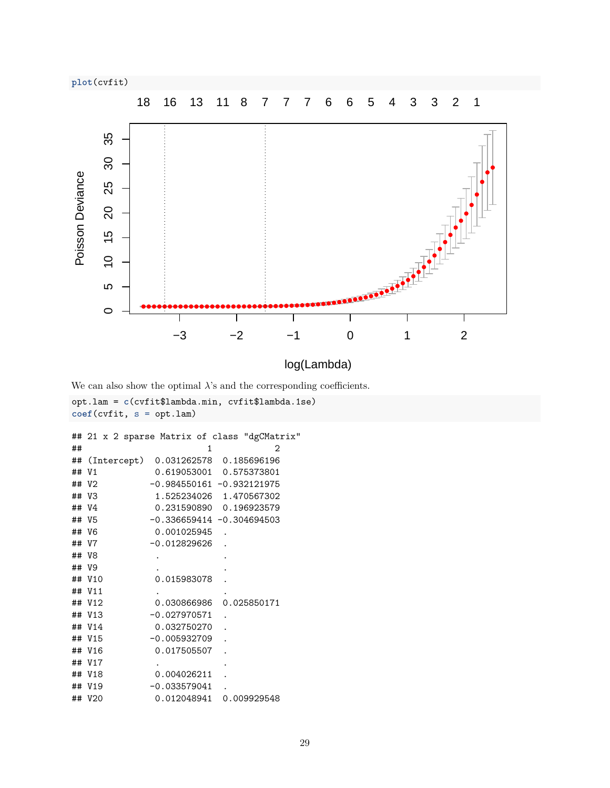**plot**(cvfit)



log(Lambda)

We can also show the optimal  $\lambda$ 's and the corresponding coefficients.

```
opt.lam = c(cvfit$lambda.min, cvfit$lambda.1se)
coef(cvfit, s = opt.lam)
## 21 x 2 sparse Matrix of class "dgCMatrix"
\# \# \qquad 1 2
## (Intercept) 0.031262578 0.185696196
## V1 0.619053001 0.575373801
## V2 -0.984550161 -0.932121975
## V3 1.525234026 1.470567302
## V4 0.231590890 0.196923579
## V5 -0.336659414 -0.304694503
## V6 0.001025945 .
## V7 -0.012829626
## V8 . .
## V9 . .
## V10 0.015983078
## V11 . .
           0.030866986
## V13 -0.027970571
## V14 0.032750270
## V15 -0.005932709
## V16 0.017505507
## V17
## V18 0.004026211
## V19 -0.033579041
## V20 0.012048941 0.009929548
```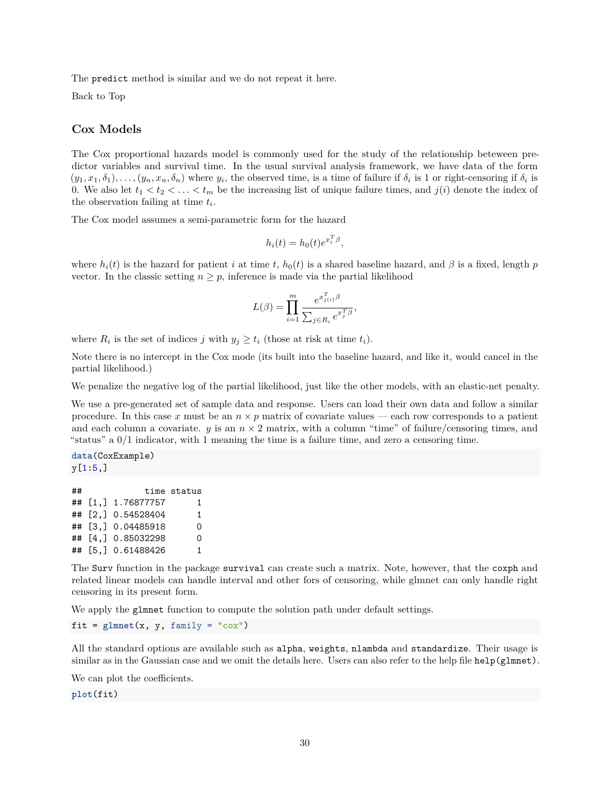The predict method is similar and we do not repeat it here.

[Back to Top](#page-0-0)

### **Cox Models**

The Cox proportional hazards model is commonly used for the study of the relationship beteween predictor variables and survival time. In the usual survival analysis framework, we have data of the form  $(y_1, x_1, \delta_1), \ldots, (y_n, x_n, \delta_n)$  where  $y_i$ , the observed time, is a time of failure if  $\delta_i$  is 1 or right-censoring if  $\delta_i$  is 0. We also let  $t_1 < t_2 < \ldots < t_m$  be the increasing list of unique failure times, and  $j(i)$  denote the index of the observation failing at time *t<sup>i</sup>* .

The Cox model assumes a semi-parametric form for the hazard

$$
h_i(t) = h_0(t)e^{x_i^T \beta},
$$

where  $h_i(t)$  is the hazard for patient *i* at time *t*,  $h_0(t)$  is a shared baseline hazard, and  $\beta$  is a fixed, length *p* vector. In the classic setting  $n \geq p$ , inference is made via the partial likelihood

$$
L(\beta) = \prod_{i=1}^m \frac{e^{x_{j(i)}^T \beta}}{\sum_{j \in R_i} e^{x_j^T \beta}},
$$

where  $R_i$  is the set of indices *j* with  $y_j \ge t_i$  (those at risk at time  $t_i$ ).

Note there is no intercept in the Cox mode (its built into the baseline hazard, and like it, would cancel in the partial likelihood.)

We penalize the negative log of the partial likelihood, just like the other models, with an elastic-net penalty.

We use a pre-generated set of sample data and response. Users can load their own data and follow a similar procedure. In this case x must be an  $n \times p$  matrix of covariate values — each row corresponds to a patient and each column a covariate.  $y$  is an  $n \times 2$  matrix, with a column "time" of failure/censoring times, and "status" a 0/1 indicator, with 1 meaning the time is a failure time, and zero a censoring time.

**data**(CoxExample) y[1:5,]

| ## |                     | time status |
|----|---------------------|-------------|
|    | ## [1,] 1.76877757  | 1.          |
|    | ## [2,] 0.54528404  | 1           |
|    | ## [3,] 0.04485918  | 0           |
|    | ## [4.] 0.85032298  | 0           |
|    | ## [5, ] 0.61488426 | 1.          |

The Surv function in the package survival can create such a matrix. Note, however, that the coxph and related linear models can handle interval and other fors of censoring, while glmnet can only handle right censoring in its present form.

We apply the glmnet function to compute the solution path under default settings.

 $fit = glmnet(x, y, family = "cox")$ 

All the standard options are available such as alpha, weights, nlambda and standardize. Their usage is similar as in the Gaussian case and we omit the details here. Users can also refer to the help file help(glmnet).

We can plot the coefficients.

**plot**(fit)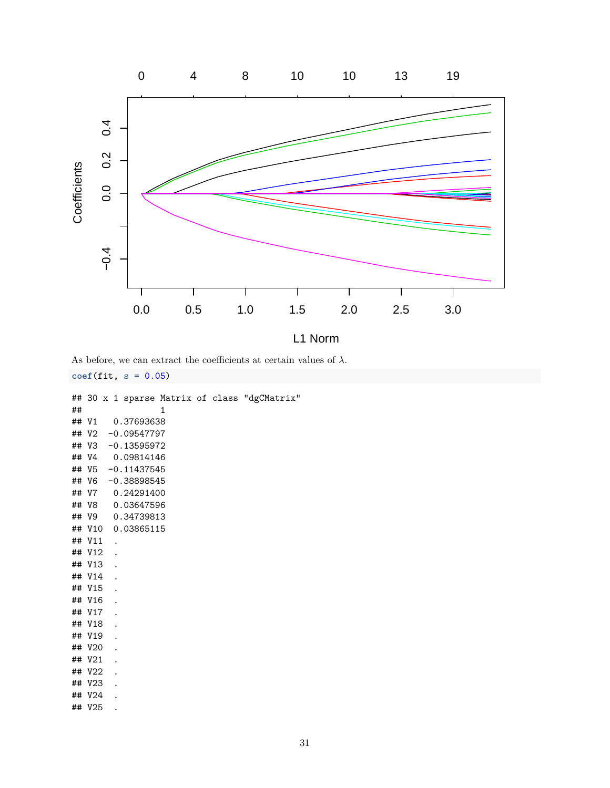

As before, we can extract the coefficients at certain values of  $\lambda$ .

**coef**(fit, s = 0.05)

```
## 30 x 1 sparse Matrix of class "dgCMatrix"
\# \# \qquad \qquad \qquad \qquad \qquad \qquad \qquad \qquad \qquad \qquad \qquad \qquad \qquad \qquad \qquad \qquad \qquad \qquad \qquad \qquad \qquad \qquad \qquad \qquad \qquad \qquad \qquad \qquad \qquad \qquad \qquad \qquad \qquad \qquad \qquad ## V1 0.37693638
## V2 -0.09547797
## V3 -0.13595972
## V4 0.09814146
## V5 -0.11437545
## V6 -0.38898545
## V7 0.24291400
## V8 0.03647596
## V9 0.34739813
## V10 0.03865115
## V11 .
## V12 .
## V13 .
## V14
## V15 .
## V16
## V17
## V18 .
## V19
## V20
## V21
## V22
## V23
## V24 .
## V25 .
```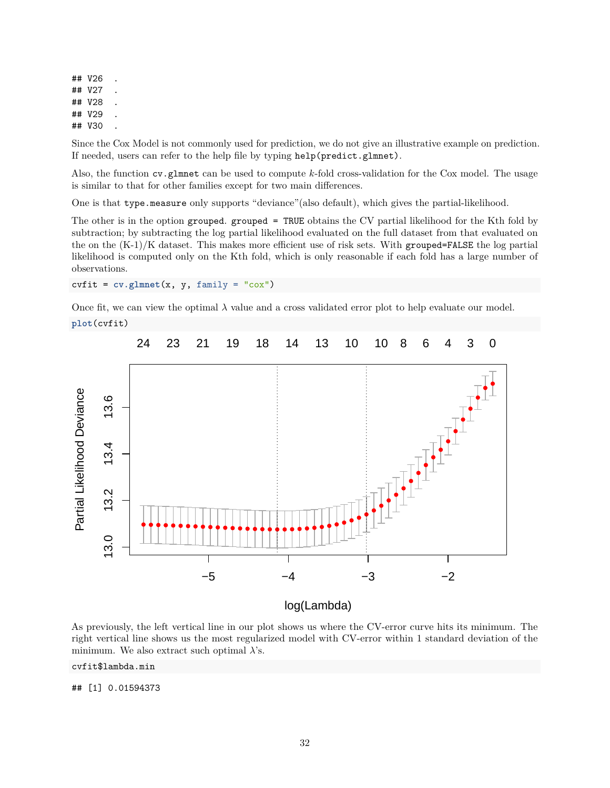## V26 ## V27 ## V28 ## V29 ## V30

Since the Cox Model is not commonly used for prediction, we do not give an illustrative example on prediction. If needed, users can refer to the help file by typing help(predict.glmnet).

Also, the function cv.glmnet can be used to compute *k*-fold cross-validation for the Cox model. The usage is similar to that for other families except for two main differences.

One is that type.measure only supports "deviance"(also default), which gives the partial-likelihood.

The other is in the option grouped. grouped = TRUE obtains the CV partial likelihood for the Kth fold by subtraction; by subtracting the log partial likelihood evaluated on the full dataset from that evaluated on the on the  $(K-1)/K$  dataset. This makes more efficient use of risk sets. With grouped=FALSE the log partial likelihood is computed only on the Kth fold, which is only reasonable if each fold has a large number of observations.

 $\text{c}\text{virt} = \text{cv}. \text{glmnet}(x, y, \text{family} = " \text{co}x")$ 

Once fit, we can view the optimal  $\lambda$  value and a cross validated error plot to help evaluate our model.

```
plot(cvfit)
```


As previously, the left vertical line in our plot shows us where the CV-error curve hits its minimum. The right vertical line shows us the most regularized model with CV-error within 1 standard deviation of the minimum. We also extract such optimal *λ*'s.

#### cvfit\$lambda.min

## [1] 0.01594373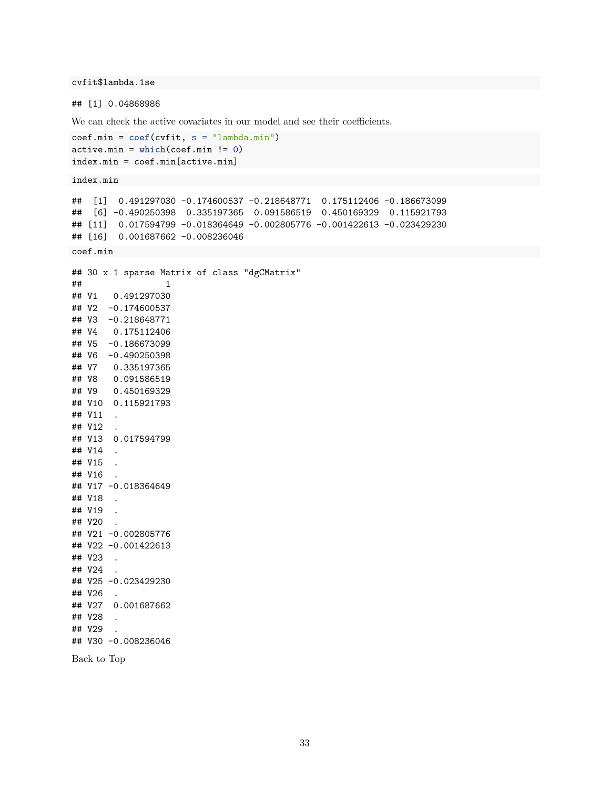cvfit\$lambda.1se

## [1] 0.04868986

We can check the active covariates in our model and see their coefficients.

```
coef.min = coef(cvfit, s = "lambda.min")
active.min = which(coef.min != 0)
index.min = coef.min[active.min]
index.min
## [1] 0.491297030 -0.174600537 -0.218648771 0.175112406 -0.186673099
## [6] -0.490250398 0.335197365 0.091586519 0.450169329 0.115921793
## [11] 0.017594799 -0.018364649 -0.002805776 -0.001422613 -0.023429230
## [16] 0.001687662 -0.008236046
coef.min
## 30 x 1 sparse Matrix of class "dgCMatrix"
\# \# \qquad \qquad \qquad \qquad \qquad \qquad \qquad \qquad \qquad \qquad \qquad \qquad \qquad \qquad \qquad \qquad \qquad \qquad \qquad \qquad \qquad \qquad \qquad \qquad \qquad \qquad \qquad \qquad \qquad \qquad \qquad \qquad \qquad \qquad \qquad ## V1 0.491297030
## V2 -0.174600537
## V3 -0.218648771
## V4 0.175112406
## V5 -0.186673099
## V6 -0.490250398
## V7 0.335197365
## V8 0.091586519
## V9 0.450169329
## V10 0.115921793
## V11 .
## V12 .
## V13 0.017594799
## V14
## V15 .
## V16 .
## V17 -0.018364649
## V18 .
## V19 .
## V20 .
## V21 -0.002805776
## V22 -0.001422613
## V23 .
## V24 .
## V25 -0.023429230
## V26 .
## V27 0.001687662
## V28 .
## V29 .
## V30 -0.008236046
```
[Back to Top](#page-0-0)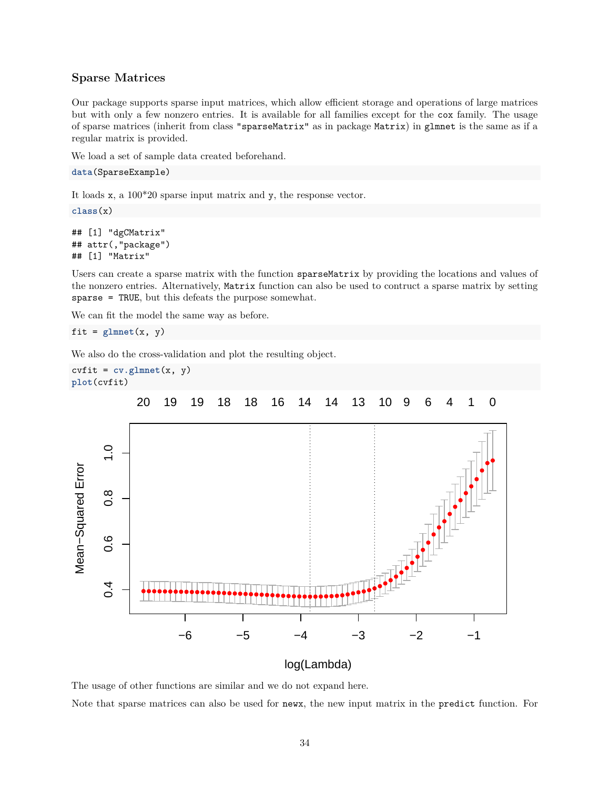## **Sparse Matrices**

Our package supports sparse input matrices, which allow efficient storage and operations of large matrices but with only a few nonzero entries. It is available for all families except for the cox family. The usage of sparse matrices (inherit from class "sparseMatrix" as in package Matrix) in glmnet is the same as if a regular matrix is provided.

We load a set of sample data created beforehand.

```
data(SparseExample)
```
It loads x, a 100\*20 sparse input matrix and y, the response vector.

**class**(x)

```
## [1] "dgCMatrix"
## attr(,"package")
## [1] "Matrix"
```
Users can create a sparse matrix with the function sparseMatrix by providing the locations and values of the nonzero entries. Alternatively, Matrix function can also be used to contruct a sparse matrix by setting sparse = TRUE, but this defeats the purpose somewhat.

We can fit the model the same way as before.

```
fit = glmnet(x, y)
```
We also do the cross-validation and plot the resulting object.



log(Lambda)

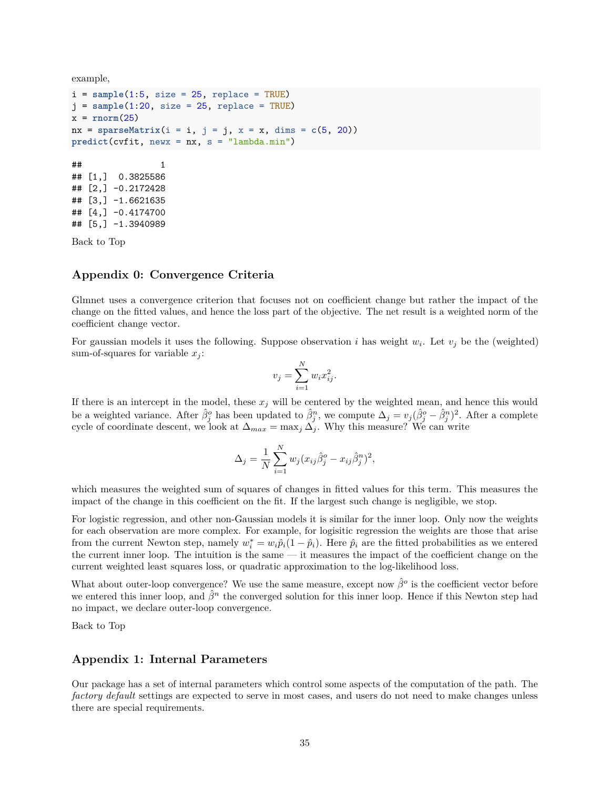example,

```
i = sample(1:5, size = 25, replace = TRUE)j = sample(1:20, size = 25, replace = TRUE)
x = rnorm(25)nx = sparseMatrix(i = i, j = j, x = x, dims = c(5, 20))predict(cvfit, newx = nx, s = "lambda.min")
\# \# \qquad \qquad \qquad \qquad \qquad \qquad \qquad \qquad \qquad \qquad \qquad \qquad \qquad \qquad \qquad \qquad \qquad \qquad \qquad \qquad \qquad \qquad \qquad \qquad \qquad \qquad \qquad \qquad \qquad \qquad \qquad \qquad \qquad \qquad \qquad ## [1,] 0.3825586
## [2,] -0.2172428
## [3,] -1.6621635
## [4,] -0.4174700
## [5,] -1.3940989
```
[Back to Top](#page-0-0)

#### **Appendix 0: Convergence Criteria**

Glmnet uses a convergence criterion that focuses not on coefficient change but rather the impact of the change on the fitted values, and hence the loss part of the objective. The net result is a weighted norm of the coefficient change vector.

For gaussian models it uses the following. Suppose observation *i* has weight  $w_i$ . Let  $v_j$  be the (weighted) sum-of-squares for variable  $x_j$ :

$$
v_j = \sum_{i=1}^N w_i x_{ij}^2.
$$

If there is an intercept in the model, these  $x_j$  will be centered by the weighted mean, and hence this would be a weighted variance. After  $\hat{\beta}_j^o$  has been updated to  $\hat{\beta}_j^n$ , we compute  $\Delta_j = v_j(\hat{\beta}_j^o - \hat{\beta}_j^n)^2$ . After a complete cycle of coordinate descent, we look at  $\Delta_{max} = \max_j \Delta_j$ . Why this measure? We can write

$$
\Delta_j = \frac{1}{N} \sum_{i=1}^N w_j (x_{ij} \hat{\beta}_j^o - x_{ij} \hat{\beta}_j^n)^2,
$$

which measures the weighted sum of squares of changes in fitted values for this term. This measures the impact of the change in this coefficient on the fit. If the largest such change is negligible, we stop.

For logistic regression, and other non-Gaussian models it is similar for the inner loop. Only now the weights for each observation are more complex. For example, for logisitic regression the weights are those that arise from the current Newton step, namely  $w_i^* = w_i \hat{p}_i (1 - \hat{p}_i)$ . Here  $\hat{p}_i$  are the fitted probabilities as we entered the current inner loop. The intuition is the same — it measures the impact of the coefficient change on the current weighted least squares loss, or quadratic approximation to the log-likelihood loss.

What about outer-loop convergence? We use the same measure, except now  $\hat{\beta}^o$  is the coefficient vector before we entered this inner loop, and  $\hat{\beta}^n$  the converged solution for this inner loop. Hence if this Newton step had no impact, we declare outer-loop convergence.

[Back to Top](#page-0-0)

### **Appendix 1: Internal Parameters**

Our package has a set of internal parameters which control some aspects of the computation of the path. The *factory default* settings are expected to serve in most cases, and users do not need to make changes unless there are special requirements.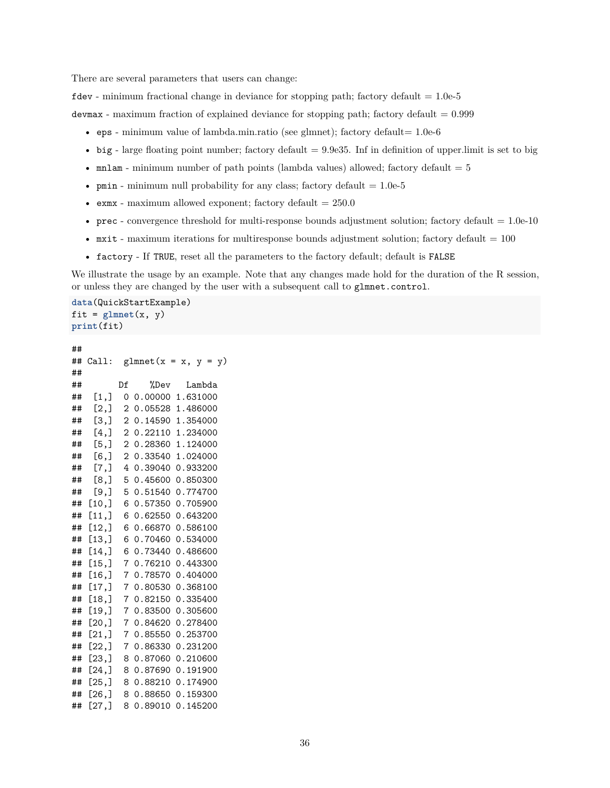There are several parameters that users can change:

 $\texttt{fdev}$  - minimum fractional change in deviance for stopping path; factory default = 1.0e-5

devmax - maximum fraction of explained deviance for stopping path; factory default  $= 0.999$ 

- eps minimum value of lambda.min.ratio (see glmnet); factory default=  $1.0e-6$
- big large floating point number; factory default  $= 9.9e35$ . Inf in definition of upper. limit is set to big
- mnlam minimum number of path points (lambda values) allowed; factory default  $= 5$
- pmin minimum null probability for any class; factory default  $= 1.0e-5$
- exmx maximum allowed exponent; factory default  $= 250.0$
- prec convergence threshold for multi-response bounds adjustment solution; factory default  $= 1.0e^{-10}$
- mxit maximum iterations for multiresponse bounds adjustment solution; factory default  $= 100$
- factory If TRUE, reset all the parameters to the factory default; default is FALSE

We illustrate the usage by an example. Note that any changes made hold for the duration of the R session, or unless they are changed by the user with a subsequent call to glmnet.control.

**data**(QuickStartExample) fit =  $glmnet(x, y)$ **print**(fit)

```
##
## Call: glmnet(x = x, y = y)##
## Df %Dev Lambda
## [1,] 0 0.00000 1.631000
## [2,] 2 0.05528 1.486000
## [3,] 2 0.14590 1.354000
## [4,] 2 0.22110 1.234000
## [5,] 2 0.28360 1.124000
## [6,] 2 0.33540 1.024000
## [7,] 4 0.39040 0.933200
## [8,] 5 0.45600 0.850300
## [9,] 5 0.51540 0.774700
## [10,] 6 0.57350 0.705900
## [11,] 6 0.62550 0.643200
## [12,] 6 0.66870 0.586100
## [13,] 6 0.70460 0.534000
## [14,] 6 0.73440 0.486600
## [15,] 7 0.76210 0.443300
## [16,] 7 0.78570 0.404000
## [17,] 7 0.80530 0.368100
## [18,] 7 0.82150 0.335400
## [19,] 7 0.83500 0.305600
## [20,] 7 0.84620 0.278400
## [21,] 7 0.85550 0.253700
## [22,] 7 0.86330 0.231200
## [23,] 8 0.87060 0.210600
## [24,] 8 0.87690 0.191900
## [25,] 8 0.88210 0.174900
## [26,] 8 0.88650 0.159300
## [27,] 8 0.89010 0.145200
```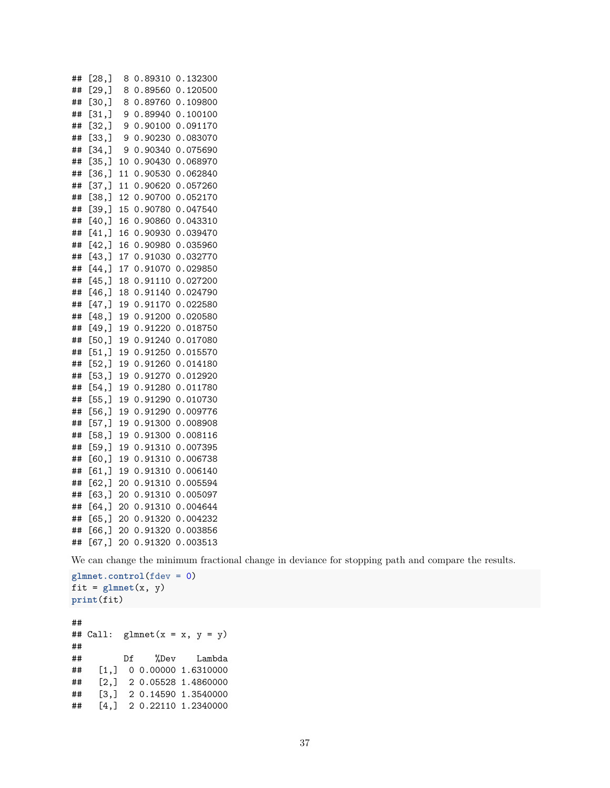## [28,] 8 0.89310 0.132300 ## [29,] 8 0.89560 0.120500 ## [30,] 8 0.89760 0.109800 ## [31,] 9 0.89940 0.100100 ## [32,] 9 0.90100 0.091170 ## [33,] 9 0.90230 0.083070 ## [34,] 9 0.90340 0.075690 ## [35,] 10 0.90430 0.068970 ## [36,] 11 0.90530 0.062840 ## [37,] 11 0.90620 0.057260 ## [38,] 12 0.90700 0.052170 ## [39,] 15 0.90780 0.047540 ## [40,] 16 0.90860 0.043310 ## [41,] 16 0.90930 0.039470 ## [42,] 16 0.90980 0.035960 ## [43,] 17 0.91030 0.032770 ## [44,] 17 0.91070 0.029850 ## [45,] 18 0.91110 0.027200 ## [46,] 18 0.91140 0.024790 ## [47,] 19 0.91170 0.022580 ## [48,] 19 0.91200 0.020580 ## [49,] 19 0.91220 0.018750 ## [50,] 19 0.91240 0.017080 ## [51,] 19 0.91250 0.015570 ## [52,] 19 0.91260 0.014180 ## [53,] 19 0.91270 0.012920 ## [54,] 19 0.91280 0.011780 ## [55,] 19 0.91290 0.010730 ## [56,] 19 0.91290 0.009776 ## [57,] 19 0.91300 0.008908 ## [58,] 19 0.91300 0.008116 ## [59,] 19 0.91310 0.007395 ## [60,] 19 0.91310 0.006738 ## [61,] 19 0.91310 0.006140 ## [62,] 20 0.91310 0.005594 ## [63,] 20 0.91310 0.005097 ## [64,] 20 0.91310 0.004644 ## [65,] 20 0.91320 0.004232 ## [66,] 20 0.91320 0.003856 ## [67,] 20 0.91320 0.003513

We can change the minimum fractional change in deviance for stopping path and compare the results.

**glmnet.control**(fdev = 0) fit =  $glmnet(x, y)$ **print**(fit)

##

## Call:  $glmnet(x = x, y = y)$ ## ## Df %Dev Lambda ## [1,] 0 0.00000 1.6310000 ## [2,] 2 0.05528 1.4860000 ## [3,] 2 0.14590 1.3540000 ## [4,] 2 0.22110 1.2340000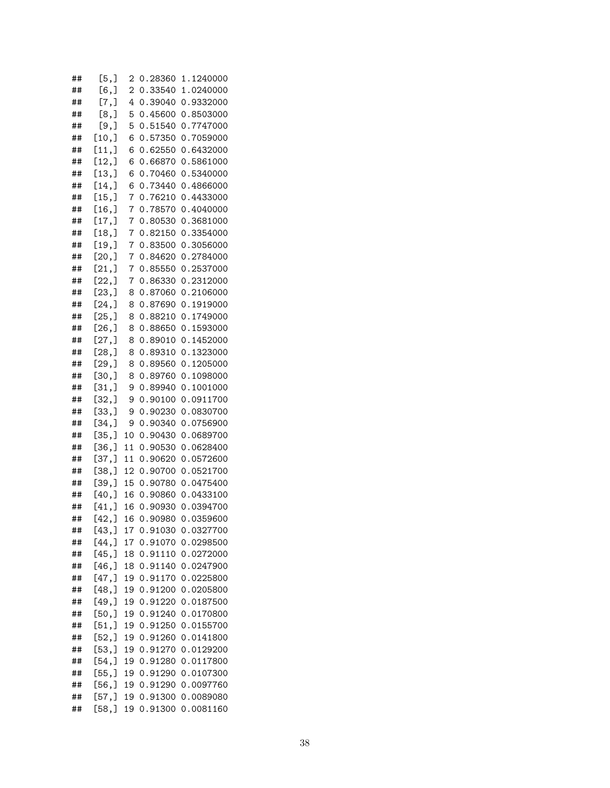| ##       | [5,]            | 2        | 0.28360            | 1.1240000              |
|----------|-----------------|----------|--------------------|------------------------|
| ##       | $[6,$ ]         | 2        | 0.33540            | 1.0240000              |
| ##       | $[7,$ ]         | 4        | 0.39040            | 0.9332000              |
| ##       | [8,]            | 5        | 0.45600            | 0.8503000              |
| ##       | [9,]            | 5        | 0.51540            | 0.7747000              |
| ##       | [10,]           | 6        | 0.57350            | 0.7059000              |
| ##       | [11,]           | 6        | 0.62550            | 0.6432000              |
| ##       | [12,]           | 6        | 0.66870            | 0.5861000              |
| ##       | [13,]           | 6        | 0.70460            | 0.5340000              |
| ##       | [14,            | 6        | 0.73440            | 0.4866000              |
| ##       | [15,]           | 7        | 0.76210            | 0.4433000              |
| ##       | [16, ]          | 7        | 0.78570            | 0.4040000              |
| ##       | [17,            | 7        | 0.80530            | 0.3681000              |
| ##       | [18, ]          | 7        | 0.82150            | 0.3354000              |
| ##       | [19,]           | 7        | 0.83500            | 0.3056000              |
| ##       | [20,]           | 7        | 0.84620            | 0.2784000              |
| ##       | [21,]           | 7        | 0.85550            | 0.2537000              |
| ##       | [22,]           | 7        | 0.86330            | 0.2312000              |
| ##       | [23, ]          | 8        | 0.87060            | 0.2106000              |
| ##       | [24,]           | 8        | 0.87690            | 0.1919000              |
| ##       | [25,]           | 8        | 0.88210            | 0.1749000              |
| ##       | [26,]           | 8        | 0.88650            | 0.1593000              |
| ##       | [27,]           | 8        | 0.89010            | 0.1452000              |
| ##       | [28, ]          | 8        | 0.89310            | 0.1323000              |
| ##       | [29, ]          | 8        | 0.89560            | 0.1205000              |
| ##       | [30,]           | 8        | 0.89760            | 0.1098000              |
| ##       | [31,]           | 9        | 0.89940            | 0.1001000              |
| ##       | [32,]           | 9        | 0.90100            | 0.0911700              |
| ##       | [33,]           | 9        | 0.90230            | 0.0830700              |
| ##       | [34,]           | 9        | 0.90340            | 0.0756900              |
| ##       | [35,]           | 10       | 0.90430            | 0.0689700              |
| ##       | [36, ]          | 11       | 0.90530            | 0.0628400              |
| ##       | [37,]           | 11       | 0.90620            | 0.0572600              |
| ##       | [38,]           | 12       | 0.90700            | 0.0521700              |
| ##       | [39,]           | 15       | 0.90780            | 0.0475400              |
| ##       | [40,            | 16       | 0.90860            | 0.0433100              |
| ##       | $[41,$ ]        | 16       | 0.90930            | 0.0394700              |
| ##       | [42,            | 16       | 0.90980            | 0.0359600              |
| ##       | [43,]           | 17       | 0.91030            | 0.0327700              |
| ##       | [44, ]          | 17       | 0.91070            | 0.0298500              |
| ##       | [45, ]          | 18       | 0.91110            | 0.0272000              |
| ##       | [46,]           | 18       | 0.91140            | 0.0247900              |
| ##       | [47,]           | 19       | 0.91170            | 0.0225800              |
| ##       | [48, ]          | 19       | 0.91200            | 0.0205800              |
| ##       | [49,            | 19       | 0.91220            | 0.0187500              |
| ##       | [50, ]          | 19       | 0.91240            | 0.0170800              |
| ##       | [51,]           | 19       | 0.91250            | 0.0155700              |
| ##       | [52,]           | 19       | 0.91260            | 0.0141800              |
| ##       | [53, ]          | 19       | 0.91270            | 0.0129200              |
| ##       | [54,]           | 19       | 0.91280            | 0.0117800              |
| ##<br>## | [55,]<br>[56, ] | 19       | 0.91290<br>0.91290 | 0.0107300<br>0.0097760 |
| ##       | [57,]           | 19<br>19 | 0.91300            | 0.0089080              |
| ##       | [58,]           | 19       | 0.91300            | 0.0081160              |
|          |                 |          |                    |                        |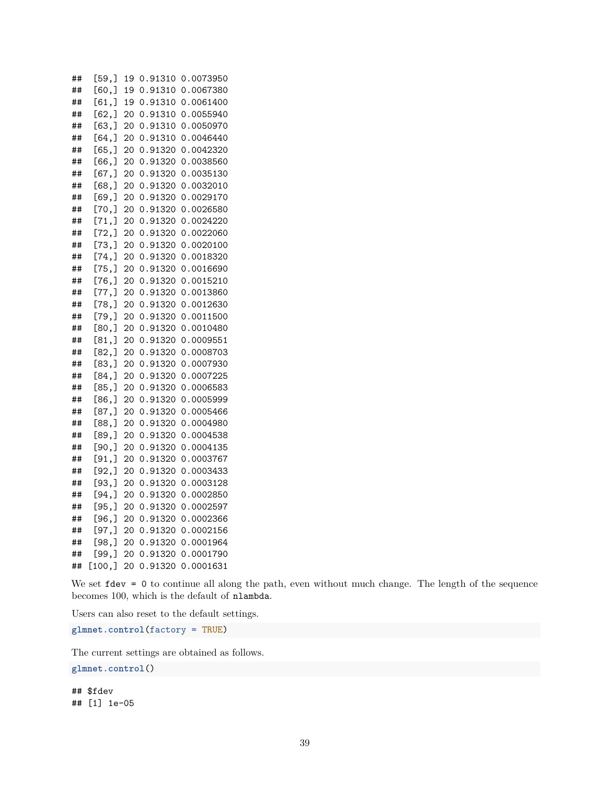## [59,] 19 0.91310 0.0073950 ## [60,] 19 0.91310 0.0067380 ## [61,] 19 0.91310 0.0061400 ## [62,] 20 0.91310 0.0055940 ## [63,] 20 0.91310 0.0050970 ## [64,] 20 0.91310 0.0046440 ## [65,] 20 0.91320 0.0042320 ## [66,] 20 0.91320 0.0038560 ## [67,] 20 0.91320 0.0035130 ## [68,] 20 0.91320 0.0032010 ## [69,] 20 0.91320 0.0029170 ## [70,] 20 0.91320 0.0026580 ## [71,] 20 0.91320 0.0024220 ## [72,] 20 0.91320 0.0022060 ## [73,] 20 0.91320 0.0020100 ## [74,] 20 0.91320 0.0018320 ## [75,] 20 0.91320 0.0016690 ## [76,] 20 0.91320 0.0015210 ## [77,] 20 0.91320 0.0013860 ## [78,] 20 0.91320 0.0012630 ## [79,] 20 0.91320 0.0011500 ## [80,] 20 0.91320 0.0010480 ## [81,] 20 0.91320 0.0009551 ## [82,] 20 0.91320 0.0008703 ## [83,] 20 0.91320 0.0007930 ## [84,] 20 0.91320 0.0007225 ## [85,] 20 0.91320 0.0006583 ## [86,] 20 0.91320 0.0005999 ## [87,] 20 0.91320 0.0005466 ## [88,] 20 0.91320 0.0004980 ## [89,] 20 0.91320 0.0004538 ## [90,] 20 0.91320 0.0004135 ## [91,] 20 0.91320 0.0003767 ## [92,] 20 0.91320 0.0003433 ## [93,] 20 0.91320 0.0003128 ## [94,] 20 0.91320 0.0002850 ## [95,] 20 0.91320 0.0002597 ## [96,] 20 0.91320 0.0002366 ## [97,] 20 0.91320 0.0002156 ## [98,] 20 0.91320 0.0001964 ## [99,] 20 0.91320 0.0001790 ## [100,] 20 0.91320 0.0001631

We set fdev = 0 to continue all along the path, even without much change. The length of the sequence becomes 100, which is the default of nlambda.

Users can also reset to the default settings.

**glmnet.control**(factory = TRUE)

The current settings are obtained as follows.

**glmnet.control**()

## \$fdev ## [1] 1e-05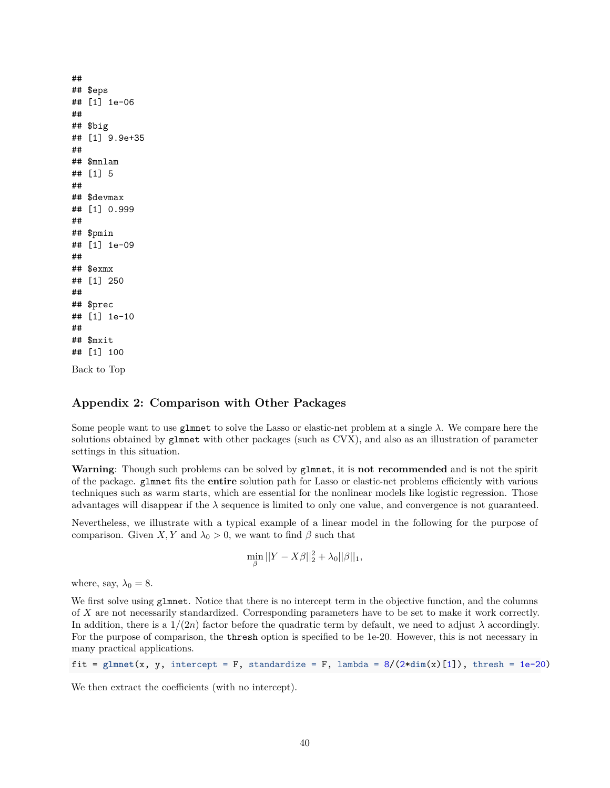## ## \$eps ## [1] 1e-06 ## ## \$big ## [1] 9.9e+35 ## ## \$mnlam ## [1] 5 ## ## \$devmax ## [1] 0.999 ## ## \$pmin ## [1] 1e-09 ## ## \$exmx ## [1] 250 ## ## \$prec ## [1] 1e-10 ## ## \$mxit ## [1] 100

[Back to Top](#page-0-0)

## **Appendix 2: Comparison with Other Packages**

Some people want to use glmnet to solve the Lasso or elastic-net problem at a single *λ*. We compare here the solutions obtained by glmnet with other packages (such as CVX), and also as an illustration of parameter settings in this situation.

**Warning**: Though such problems can be solved by glmnet, it is **not recommended** and is not the spirit of the package. glmnet fits the **entire** solution path for Lasso or elastic-net problems efficiently with various techniques such as warm starts, which are essential for the nonlinear models like logistic regression. Those advantages will disappear if the *λ* sequence is limited to only one value, and convergence is not guaranteed.

Nevertheless, we illustrate with a typical example of a linear model in the following for the purpose of comparison. Given *X, Y* and  $\lambda_0 > 0$ , we want to find  $\beta$  such that

$$
\min_{\beta} ||Y - X\beta||_2^2 + \lambda_0 ||\beta||_1,
$$

where, say,  $\lambda_0 = 8$ .

We first solve using glmnet. Notice that there is no intercept term in the objective function, and the columns of *X* are not necessarily standardized. Corresponding parameters have to be set to make it work correctly. In addition, there is a  $1/(2n)$  factor before the quadratic term by default, we need to adjust  $\lambda$  accordingly. For the purpose of comparison, the thresh option is specified to be 1e-20. However, this is not necessary in many practical applications.

fit =  $glmnet(x, y, intercept = F, standardize = F, lambda = 8/(2*dim(x)[1]), thresh = 1e-20)$ 

We then extract the coefficients (with no intercept).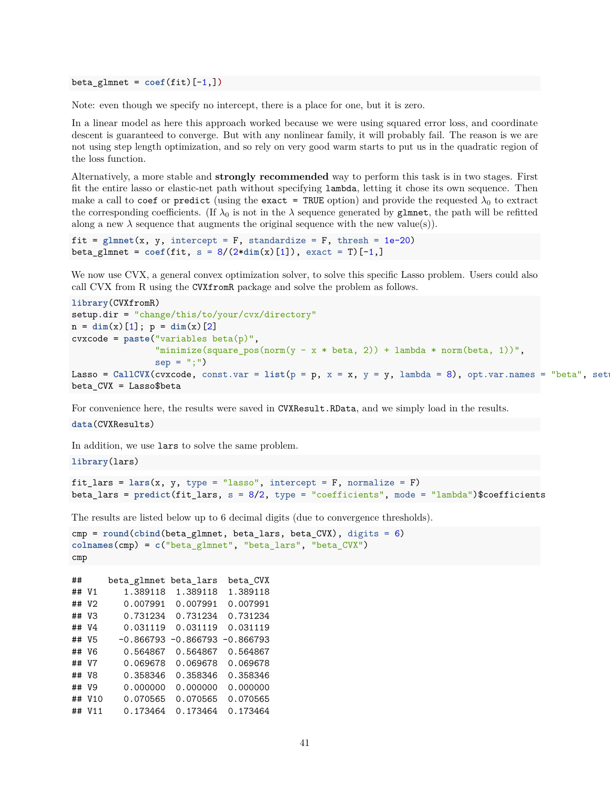$beta_g$ lmnet =  $\text{coef}(fit)[-1,])$ 

Note: even though we specify no intercept, there is a place for one, but it is zero.

In a linear model as here this approach worked because we were using squared error loss, and coordinate descent is guaranteed to converge. But with any nonlinear family, it will probably fail. The reason is we are not using step length optimization, and so rely on very good warm starts to put us in the quadratic region of the loss function.

Alternatively, a more stable and **strongly recommended** way to perform this task is in two stages. First fit the entire lasso or elastic-net path without specifying lambda, letting it chose its own sequence. Then make a call to coef or predict (using the exact = TRUE option) and provide the requested  $\lambda_0$  to extract the corresponding coefficients. (If  $\lambda_0$  is not in the  $\lambda$  sequence generated by glmnet, the path will be refitted along a new  $\lambda$  sequence that augments the original sequence with the new value(s)).

```
fit = glmnet(x, y, intercept = F, standardize = F, thresh = 1e-20)beta_glmnet = \text{coeff}(\text{fit}, s = 8/(2* \text{dim}(x)[1]), \text{ exact} = T)[-1,]
```
We now use CVX, a general convex optimization solver, to solve this specific Lasso problem. Users could also call CVX from R using the CVXfromR package and solve the problem as follows.

```
library(CVXfromR)
setup.dir = "change/this/to/your/cvx/directory"
n = \dim(x) [1]; p = \dim(x) [2]cvxcode = paste("variables beta(p)",
                "minimize(square_pos(norm(y - x * beta, 2)) + lambda * norm(beta, 1))",
                sep = ";")Lasso = CallCVX(cvxcode, const.var = list(p = p, x = x, y = y, lambda = 8), opt.var.names = "beta", set
beta_CVX = Lasso$beta
```
For convenience here, the results were saved in CVXResult.RData, and we simply load in the results.

### **data**(CVXResults)

In addition, we use lars to solve the same problem.

**library**(lars)

```
fit lars = lars(x, y, type = "lasso", intercept = F, normalize = F)beta_lars = predict(fit_lars, s = 8/2, type = "coefficients", mode = "lambda")$coefficients
```
The results are listed below up to 6 decimal digits (due to convergence thresholds).

```
cmp = round(cbind(beta_glmnet, beta_lars, beta_CVX), digits = 6)
colnames(cmp) = c("beta_glmnet", "beta_lars", "beta_CVX")
cmp
```
## beta\_glmnet beta\_lars beta\_CVX ## V1 1.389118 1.389118 1.389118 ## V2 0.007991 0.007991 0.007991 ## V3 0.731234 0.731234 0.731234 ## V4 0.031119 0.031119 0.031119 ## V5 -0.866793 -0.866793 -0.866793 ## V6 0.564867 0.564867 0.564867 ## V7 0.069678 0.069678 0.069678 ## V8 0.358346 0.358346 0.358346 ## V9 0.000000 0.000000 0.000000 ## V10 0.070565 0.070565 0.070565 ## V11 0.173464 0.173464 0.173464